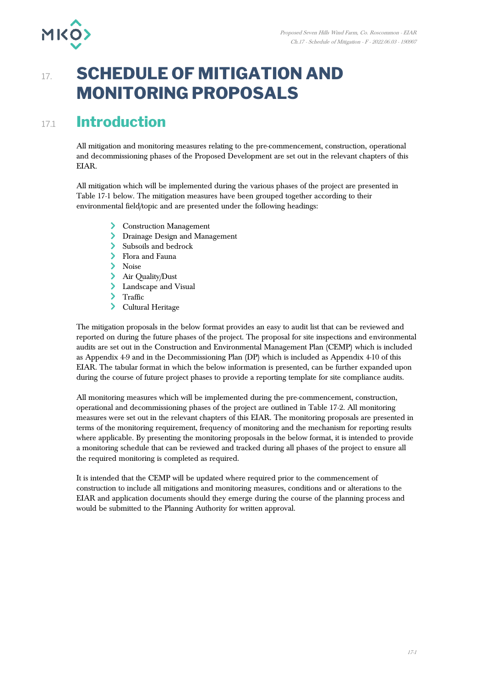

## **17. SCHEDULE OF MITIGATION AND MONITORING PROPOSALS**

## 17.1 **Introduction**

All mitigation and monitoring measures relating to the pre-commencement, construction, operational and decommissioning phases of the Proposed Development are set out in the relevant chapters of this EIAR.

All mitigation which will be implemented during the various phases of the project are presented in Table 17-1 below. The mitigation measures have been grouped together according to their environmental field/topic and are presented under the following headings:

- > Construction Management
- Drainage Design and Management
- Subsoils and bedrock
- Flora and Fauna
- Noise
- > Air Quality/Dust
- > Landscape and Visual
- > Traffic
- Cultural Heritage

The mitigation proposals in the below format provides an easy to audit list that can be reviewed and reported on during the future phases of the project. The proposal for site inspections and environmental audits are set out in the Construction and Environmental Management Plan (CEMP) which is included as Appendix 4-9 and in the Decommissioning Plan (DP) which is included as Appendix 4-10 of this EIAR. The tabular format in which the below information is presented, can be further expanded upon during the course of future project phases to provide a reporting template for site compliance audits.

All monitoring measures which will be implemented during the pre-commencement, construction, operational and decommissioning phases of the project are outlined in Table 17-2. All monitoring measures were set out in the relevant chapters of this EIAR. The monitoring proposals are presented in terms of the monitoring requirement, frequency of monitoring and the mechanism for reporting results where applicable. By presenting the monitoring proposals in the below format, it is intended to provide a monitoring schedule that can be reviewed and tracked during all phases of the project to ensure all the required monitoring is completed as required.

It is intended that the CEMP will be updated where required prior to the commencement of construction to include all mitigations and monitoring measures, conditions and or alterations to the EIAR and application documents should they emerge during the course of the planning process and would be submitted to the Planning Authority for written approval.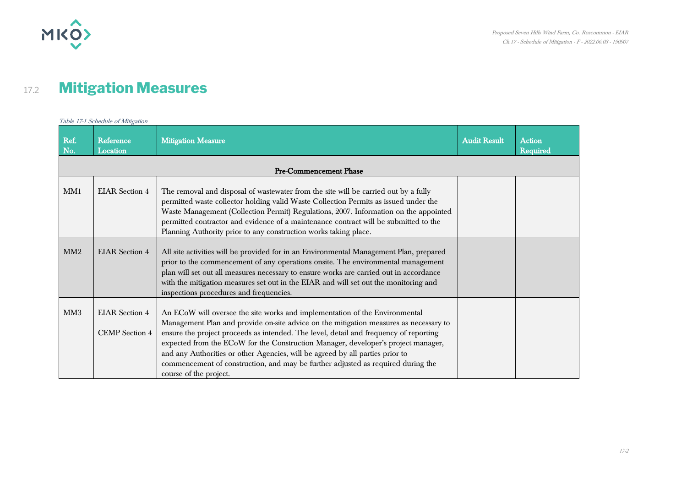

## 17.2 **Mitigation Measures**

|                 | Table 17-1 Schedule of Mitigation              |                                                                                                                                                                                                                                                                                                                                                                                                                                                                                                                                                   |                     |                                  |  |  |  |
|-----------------|------------------------------------------------|---------------------------------------------------------------------------------------------------------------------------------------------------------------------------------------------------------------------------------------------------------------------------------------------------------------------------------------------------------------------------------------------------------------------------------------------------------------------------------------------------------------------------------------------------|---------------------|----------------------------------|--|--|--|
| Ref.<br>No.     | Reference<br>Location                          | <b>Mitigation Measure</b>                                                                                                                                                                                                                                                                                                                                                                                                                                                                                                                         | <b>Audit Result</b> | <b>Action</b><br><b>Required</b> |  |  |  |
|                 |                                                | <b>Pre-Commencement Phase</b>                                                                                                                                                                                                                                                                                                                                                                                                                                                                                                                     |                     |                                  |  |  |  |
| MM1             | <b>EIAR</b> Section 4                          | The removal and disposal of wastewater from the site will be carried out by a fully<br>permitted waste collector holding valid Waste Collection Permits as issued under the<br>Waste Management (Collection Permit) Regulations, 2007. Information on the appointed<br>permitted contractor and evidence of a maintenance contract will be submitted to the<br>Planning Authority prior to any construction works taking place.                                                                                                                   |                     |                                  |  |  |  |
| MM2             | <b>EIAR</b> Section 4                          | All site activities will be provided for in an Environmental Management Plan, prepared<br>prior to the commencement of any operations onsite. The environmental management<br>plan will set out all measures necessary to ensure works are carried out in accordance<br>with the mitigation measures set out in the EIAR and will set out the monitoring and<br>inspections procedures and frequencies.                                                                                                                                           |                     |                                  |  |  |  |
| MM <sub>3</sub> | <b>EIAR</b> Section 4<br><b>CEMP</b> Section 4 | An ECoW will oversee the site works and implementation of the Environmental<br>Management Plan and provide on-site advice on the mitigation measures as necessary to<br>ensure the project proceeds as intended. The level, detail and frequency of reporting<br>expected from the ECoW for the Construction Manager, developer's project manager,<br>and any Authorities or other Agencies, will be agreed by all parties prior to<br>commencement of construction, and may be further adjusted as required during the<br>course of the project. |                     |                                  |  |  |  |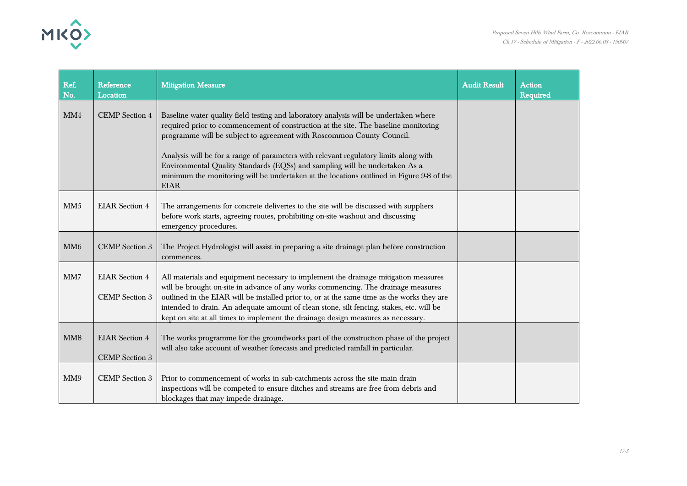

| Ref.<br>No.     | Reference<br>Location                          | <b>Mitigation Measure</b>                                                                                                                                                                                                                                                                                                                                                                                                                                                                                                                | <b>Audit Result</b> | <b>Action</b><br><b>Required</b> |
|-----------------|------------------------------------------------|------------------------------------------------------------------------------------------------------------------------------------------------------------------------------------------------------------------------------------------------------------------------------------------------------------------------------------------------------------------------------------------------------------------------------------------------------------------------------------------------------------------------------------------|---------------------|----------------------------------|
| MM4             | <b>CEMP</b> Section 4                          | Baseline water quality field testing and laboratory analysis will be undertaken where<br>required prior to commencement of construction at the site. The baseline monitoring<br>programme will be subject to agreement with Roscommon County Council.<br>Analysis will be for a range of parameters with relevant regulatory limits along with<br>Environmental Quality Standards (EQSs) and sampling will be undertaken As a<br>minimum the monitoring will be undertaken at the locations outlined in Figure 9-8 of the<br><b>EIAR</b> |                     |                                  |
| MM <sub>5</sub> | <b>EIAR</b> Section 4                          | The arrangements for concrete deliveries to the site will be discussed with suppliers<br>before work starts, agreeing routes, prohibiting on-site washout and discussing<br>emergency procedures.                                                                                                                                                                                                                                                                                                                                        |                     |                                  |
| MM <sub>6</sub> | <b>CEMP</b> Section 3                          | The Project Hydrologist will assist in preparing a site drainage plan before construction<br>commences.                                                                                                                                                                                                                                                                                                                                                                                                                                  |                     |                                  |
| MM7             | <b>EIAR</b> Section 4<br><b>CEMP</b> Section 3 | All materials and equipment necessary to implement the drainage mitigation measures<br>will be brought on-site in advance of any works commencing. The drainage measures<br>outlined in the EIAR will be installed prior to, or at the same time as the works they are<br>intended to drain. An adequate amount of clean stone, silt fencing, stakes, etc. will be<br>kept on site at all times to implement the drainage design measures as necessary.                                                                                  |                     |                                  |
| MM <sub>8</sub> | <b>EIAR</b> Section 4<br><b>CEMP</b> Section 3 | The works programme for the groundworks part of the construction phase of the project<br>will also take account of weather forecasts and predicted rainfall in particular.                                                                                                                                                                                                                                                                                                                                                               |                     |                                  |
| MM9             | <b>CEMP</b> Section 3                          | Prior to commencement of works in sub-catchments across the site main drain<br>inspections will be competed to ensure ditches and streams are free from debris and<br>blockages that may impede drainage.                                                                                                                                                                                                                                                                                                                                |                     |                                  |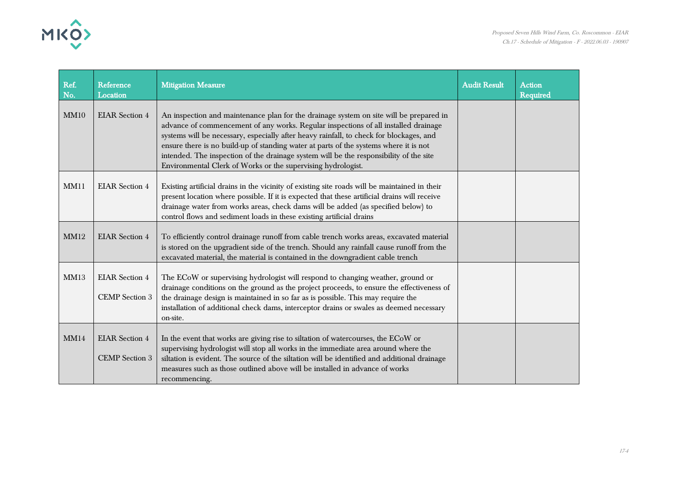

| Ref.<br>No. | Reference<br>Location                          | <b>Mitigation Measure</b>                                                                                                                                                                                                                                                                                                                                                                                                                                                                                                   | <b>Audit Result</b> | <b>Action</b><br>Required |
|-------------|------------------------------------------------|-----------------------------------------------------------------------------------------------------------------------------------------------------------------------------------------------------------------------------------------------------------------------------------------------------------------------------------------------------------------------------------------------------------------------------------------------------------------------------------------------------------------------------|---------------------|---------------------------|
| MM10        | <b>EIAR</b> Section 4                          | An inspection and maintenance plan for the drainage system on site will be prepared in<br>advance of commencement of any works. Regular inspections of all installed drainage<br>systems will be necessary, especially after heavy rainfall, to check for blockages, and<br>ensure there is no build-up of standing water at parts of the systems where it is not<br>intended. The inspection of the drainage system will be the responsibility of the site<br>Environmental Clerk of Works or the supervising hydrologist. |                     |                           |
| MM11        | <b>EIAR</b> Section 4                          | Existing artificial drains in the vicinity of existing site roads will be maintained in their<br>present location where possible. If it is expected that these artificial drains will receive<br>drainage water from works areas, check dams will be added (as specified below) to<br>control flows and sediment loads in these existing artificial drains                                                                                                                                                                  |                     |                           |
| <b>MM12</b> | <b>EIAR</b> Section 4                          | To efficiently control drainage runoff from cable trench works areas, excavated material<br>is stored on the upgradient side of the trench. Should any rainfall cause runoff from the<br>excavated material, the material is contained in the downgradient cable trench                                                                                                                                                                                                                                                     |                     |                           |
| MM13        | <b>EIAR</b> Section 4<br><b>CEMP</b> Section 3 | The ECoW or supervising hydrologist will respond to changing weather, ground or<br>drainage conditions on the ground as the project proceeds, to ensure the effectiveness of<br>the drainage design is maintained in so far as is possible. This may require the<br>installation of additional check dams, interceptor drains or swales as deemed necessary<br>on-site.                                                                                                                                                     |                     |                           |
| MM14        | <b>EIAR</b> Section 4<br><b>CEMP</b> Section 3 | In the event that works are giving rise to siltation of watercourses, the ECoW or<br>supervising hydrologist will stop all works in the immediate area around where the<br>siltation is evident. The source of the siltation will be identified and additional drainage<br>measures such as those outlined above will be installed in advance of works<br>recommencing.                                                                                                                                                     |                     |                           |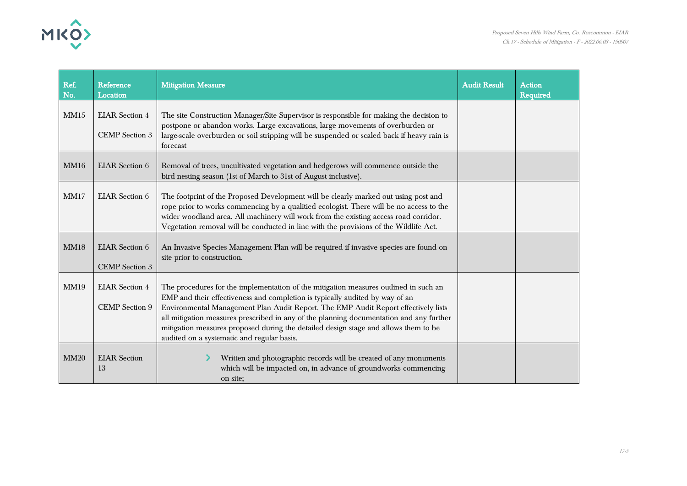

| Ref.<br>No. | Reference<br>Location                          | <b>Mitigation Measure</b>                                                                                                                                                                                                                                                                                                                                                                                                                                                                  | <b>Audit Result</b> | <b>Action</b><br><b>Required</b> |
|-------------|------------------------------------------------|--------------------------------------------------------------------------------------------------------------------------------------------------------------------------------------------------------------------------------------------------------------------------------------------------------------------------------------------------------------------------------------------------------------------------------------------------------------------------------------------|---------------------|----------------------------------|
| MM15        | <b>EIAR</b> Section 4<br><b>CEMP</b> Section 3 | The site Construction Manager/Site Supervisor is responsible for making the decision to<br>postpone or abandon works. Large excavations, large movements of overburden or<br>large-scale overburden or soil stripping will be suspended or scaled back if heavy rain is<br>forecast                                                                                                                                                                                                        |                     |                                  |
| <b>MM16</b> | <b>EIAR</b> Section 6                          | Removal of trees, uncultivated vegetation and hedgerows will commence outside the<br>bird nesting season (1st of March to 31st of August inclusive).                                                                                                                                                                                                                                                                                                                                       |                     |                                  |
| MM17        | <b>EIAR</b> Section 6                          | The footprint of the Proposed Development will be clearly marked out using post and<br>rope prior to works commencing by a qualitied ecologist. There will be no access to the<br>wider woodland area. All machinery will work from the existing access road corridor.<br>Vegetation removal will be conducted in line with the provisions of the Wildlife Act.                                                                                                                            |                     |                                  |
| <b>MM18</b> | <b>EIAR</b> Section 6<br><b>CEMP</b> Section 3 | An Invasive Species Management Plan will be required if invasive species are found on<br>site prior to construction.                                                                                                                                                                                                                                                                                                                                                                       |                     |                                  |
| <b>MM19</b> | <b>EIAR</b> Section 4<br><b>CEMP</b> Section 9 | The procedures for the implementation of the mitigation measures outlined in such an<br>EMP and their effectiveness and completion is typically audited by way of an<br>Environmental Management Plan Audit Report. The EMP Audit Report effectively lists<br>all mitigation measures prescribed in any of the planning documentation and any further<br>mitigation measures proposed during the detailed design stage and allows them to be<br>audited on a systematic and regular basis. |                     |                                  |
| <b>MM20</b> | <b>EIAR</b> Section<br>13                      | Written and photographic records will be created of any monuments<br>which will be impacted on, in advance of groundworks commencing<br>on site;                                                                                                                                                                                                                                                                                                                                           |                     |                                  |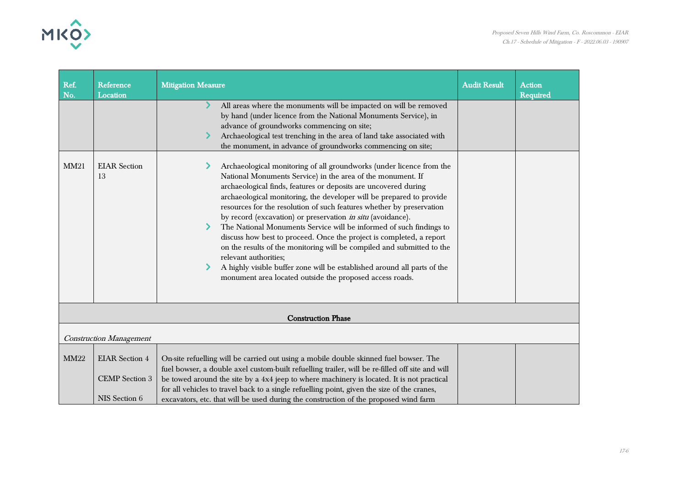

| Ref.<br>No.               | <b>Reference</b><br>Location                                    | <b>Mitigation Measure</b>                                                                                                                                                                                                                                                                                                                                                                                                                                                                                                                                                                                                                                                                                                                                                                                        | <b>Audit Result</b> | <b>Action</b><br><b>Required</b> |  |
|---------------------------|-----------------------------------------------------------------|------------------------------------------------------------------------------------------------------------------------------------------------------------------------------------------------------------------------------------------------------------------------------------------------------------------------------------------------------------------------------------------------------------------------------------------------------------------------------------------------------------------------------------------------------------------------------------------------------------------------------------------------------------------------------------------------------------------------------------------------------------------------------------------------------------------|---------------------|----------------------------------|--|
|                           |                                                                 | All areas where the monuments will be impacted on will be removed<br>by hand (under licence from the National Monuments Service), in<br>advance of groundworks commencing on site;<br>Archaeological test trenching in the area of land take associated with<br>the monument, in advance of groundworks commencing on site;                                                                                                                                                                                                                                                                                                                                                                                                                                                                                      |                     |                                  |  |
| <b>MM21</b>               | <b>EIAR</b> Section<br>13                                       | Archaeological monitoring of all groundworks (under licence from the<br>National Monuments Service) in the area of the monument. If<br>archaeological finds, features or deposits are uncovered during<br>archaeological monitoring, the developer will be prepared to provide<br>resources for the resolution of such features whether by preservation<br>by record (excavation) or preservation in situ (avoidance).<br>The National Monuments Service will be informed of such findings to<br>discuss how best to proceed. Once the project is completed, a report<br>on the results of the monitoring will be compiled and submitted to the<br>relevant authorities;<br>A highly visible buffer zone will be established around all parts of the<br>monument area located outside the proposed access roads. |                     |                                  |  |
| <b>Construction Phase</b> |                                                                 |                                                                                                                                                                                                                                                                                                                                                                                                                                                                                                                                                                                                                                                                                                                                                                                                                  |                     |                                  |  |
|                           | <b>Construction Management</b>                                  |                                                                                                                                                                                                                                                                                                                                                                                                                                                                                                                                                                                                                                                                                                                                                                                                                  |                     |                                  |  |
| <b>MM22</b>               | <b>EIAR</b> Section 4<br><b>CEMP</b> Section 3<br>NIS Section 6 | On-site refuelling will be carried out using a mobile double skinned fuel bowser. The<br>fuel bowser, a double axel custom-built refuelling trailer, will be re-filled off site and will<br>be towed around the site by a 4x4 jeep to where machinery is located. It is not practical<br>for all vehicles to travel back to a single refuelling point, given the size of the cranes,<br>excavators, etc. that will be used during the construction of the proposed wind farm                                                                                                                                                                                                                                                                                                                                     |                     |                                  |  |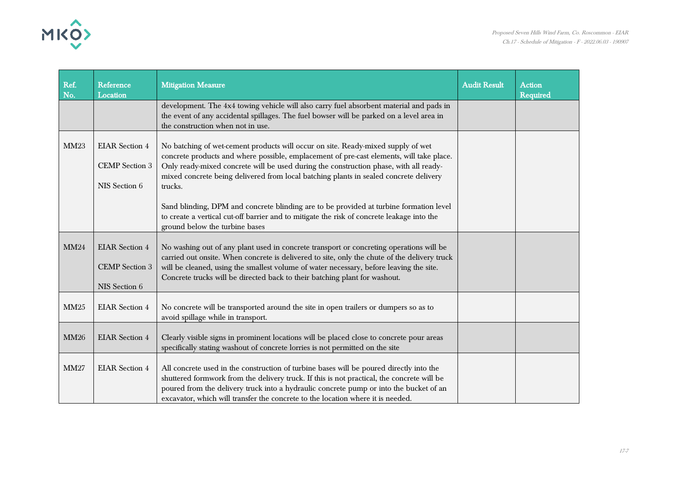

| Ref.<br>No. | Reference<br>Location                                           | <b>Mitigation Measure</b>                                                                                                                                                                                                                                                                                                                                                                                                                                                                                                                                                                           | <b>Audit Result</b> | <b>Action</b><br><b>Required</b> |
|-------------|-----------------------------------------------------------------|-----------------------------------------------------------------------------------------------------------------------------------------------------------------------------------------------------------------------------------------------------------------------------------------------------------------------------------------------------------------------------------------------------------------------------------------------------------------------------------------------------------------------------------------------------------------------------------------------------|---------------------|----------------------------------|
|             |                                                                 | development. The 4x4 towing vehicle will also carry fuel absorbent material and pads in<br>the event of any accidental spillages. The fuel bowser will be parked on a level area in<br>the construction when not in use.                                                                                                                                                                                                                                                                                                                                                                            |                     |                                  |
| <b>MM23</b> | <b>EIAR</b> Section 4<br><b>CEMP</b> Section 3<br>NIS Section 6 | No batching of wet-cement products will occur on site. Ready-mixed supply of wet<br>concrete products and where possible, emplacement of pre-cast elements, will take place.<br>Only ready-mixed concrete will be used during the construction phase, with all ready-<br>mixed concrete being delivered from local batching plants in sealed concrete delivery<br>trucks.<br>Sand blinding, DPM and concrete blinding are to be provided at turbine formation level<br>to create a vertical cut-off barrier and to mitigate the risk of concrete leakage into the<br>ground below the turbine bases |                     |                                  |
| <b>MM24</b> | <b>EIAR</b> Section 4<br><b>CEMP</b> Section 3<br>NIS Section 6 | No washing out of any plant used in concrete transport or concreting operations will be<br>carried out onsite. When concrete is delivered to site, only the chute of the delivery truck<br>will be cleaned, using the smallest volume of water necessary, before leaving the site.<br>Concrete trucks will be directed back to their batching plant for washout.                                                                                                                                                                                                                                    |                     |                                  |
| <b>MM25</b> | <b>EIAR</b> Section 4                                           | No concrete will be transported around the site in open trailers or dumpers so as to<br>avoid spillage while in transport.                                                                                                                                                                                                                                                                                                                                                                                                                                                                          |                     |                                  |
| <b>MM26</b> | <b>EIAR</b> Section 4                                           | Clearly visible signs in prominent locations will be placed close to concrete pour areas<br>specifically stating washout of concrete lorries is not permitted on the site                                                                                                                                                                                                                                                                                                                                                                                                                           |                     |                                  |
| MM27        | <b>EIAR</b> Section 4                                           | All concrete used in the construction of turbine bases will be poured directly into the<br>shuttered formwork from the delivery truck. If this is not practical, the concrete will be<br>poured from the delivery truck into a hydraulic concrete pump or into the bucket of an<br>excavator, which will transfer the concrete to the location where it is needed.                                                                                                                                                                                                                                  |                     |                                  |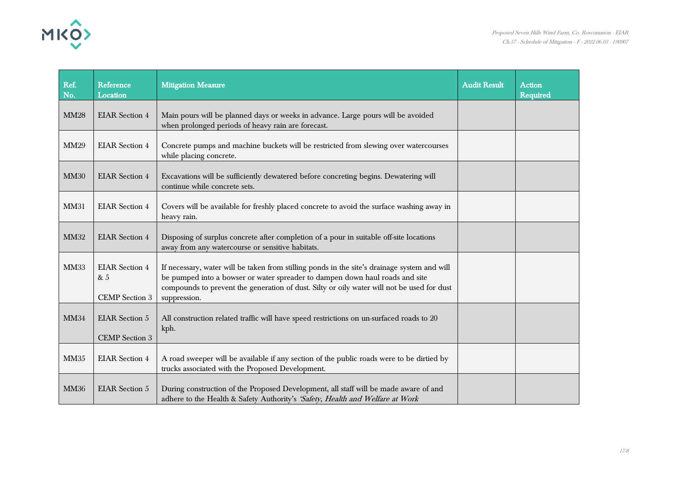

| Ref.<br>No. | Reference<br>Location                                 | <b>Mitigation Measure</b>                                                                                                                                                                                                                                                                  | <b>Audit Result</b> | <b>Action</b><br><b>Required</b> |
|-------------|-------------------------------------------------------|--------------------------------------------------------------------------------------------------------------------------------------------------------------------------------------------------------------------------------------------------------------------------------------------|---------------------|----------------------------------|
| <b>MM28</b> | <b>EIAR Section 4</b>                                 | Main pours will be planned days or weeks in advance. Large pours will be avoided<br>when prolonged periods of heavy rain are forecast.                                                                                                                                                     |                     |                                  |
| <b>MM29</b> | <b>EIAR</b> Section 4                                 | Concrete pumps and machine buckets will be restricted from slewing over watercourses<br>while placing concrete.                                                                                                                                                                            |                     |                                  |
| <b>MM30</b> | <b>EIAR</b> Section 4                                 | Excavations will be sufficiently dewatered before concreting begins. Dewatering will<br>continue while concrete sets.                                                                                                                                                                      |                     |                                  |
| <b>MM31</b> | <b>EIAR</b> Section 4                                 | Covers will be available for freshly placed concrete to avoid the surface washing away in<br>heavy rain.                                                                                                                                                                                   |                     |                                  |
| <b>MM32</b> | <b>EIAR</b> Section 4                                 | Disposing of surplus concrete after completion of a pour in suitable off-site locations<br>away from any watercourse or sensitive habitats.                                                                                                                                                |                     |                                  |
| <b>MM33</b> | <b>EIAR</b> Section 4<br>& 5<br><b>CEMP</b> Section 3 | If necessary, water will be taken from stilling ponds in the site's drainage system and will<br>be pumped into a bowser or water spreader to dampen down haul roads and site<br>compounds to prevent the generation of dust. Silty or oily water will not be used for dust<br>suppression. |                     |                                  |
| <b>MM34</b> | <b>EIAR</b> Section 5<br><b>CEMP</b> Section 3        | All construction related traffic will have speed restrictions on un-surfaced roads to 20<br>kph.                                                                                                                                                                                           |                     |                                  |
| <b>MM35</b> | <b>EIAR</b> Section 4                                 | A road sweeper will be available if any section of the public roads were to be dirtied by<br>trucks associated with the Proposed Development.                                                                                                                                              |                     |                                  |
| <b>MM36</b> | <b>EIAR</b> Section 5                                 | During construction of the Proposed Development, all staff will be made aware of and<br>adhere to the Health & Safety Authority's 'Safety, Health and Welfare at Work                                                                                                                      |                     |                                  |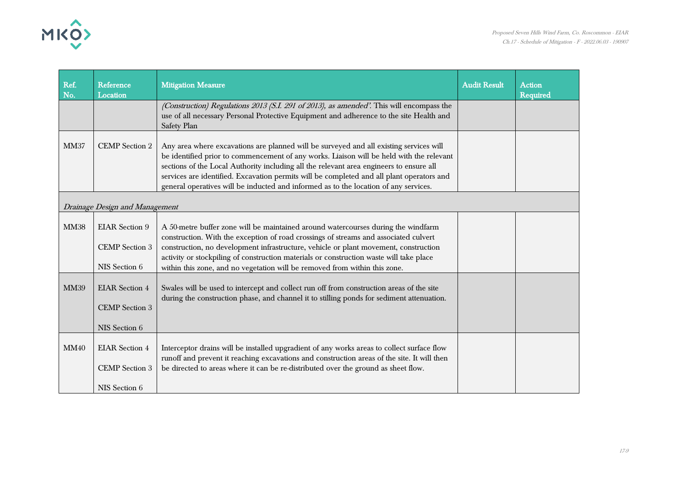

| Ref.<br>No. | Reference<br>Location                                           | <b>Mitigation Measure</b>                                                                                                                                                                                                                                                                                                                                                                                                                                          | <b>Audit Result</b> | <b>Action</b><br>Required |
|-------------|-----------------------------------------------------------------|--------------------------------------------------------------------------------------------------------------------------------------------------------------------------------------------------------------------------------------------------------------------------------------------------------------------------------------------------------------------------------------------------------------------------------------------------------------------|---------------------|---------------------------|
|             |                                                                 | (Construction) Regulations 2013 (S.I. 291 of 2013), as amended'. This will encompass the<br>use of all necessary Personal Protective Equipment and adherence to the site Health and<br>Safety Plan                                                                                                                                                                                                                                                                 |                     |                           |
| <b>MM37</b> | <b>CEMP</b> Section 2                                           | Any area where excavations are planned will be surveyed and all existing services will<br>be identified prior to commencement of any works. Liaison will be held with the relevant<br>sections of the Local Authority including all the relevant area engineers to ensure all<br>services are identified. Excavation permits will be completed and all plant operators and<br>general operatives will be inducted and informed as to the location of any services. |                     |                           |
|             | Drainage Design and Management                                  |                                                                                                                                                                                                                                                                                                                                                                                                                                                                    |                     |                           |
| <b>MM38</b> | <b>EIAR</b> Section 9<br><b>CEMP</b> Section 3<br>NIS Section 6 | A 50-metre buffer zone will be maintained around watercourses during the windfarm<br>construction. With the exception of road crossings of streams and associated culvert<br>construction, no development infrastructure, vehicle or plant movement, construction<br>activity or stockpiling of construction materials or construction waste will take place<br>within this zone, and no vegetation will be removed from within this zone.                         |                     |                           |
| <b>MM39</b> | <b>EIAR</b> Section 4<br><b>CEMP</b> Section 3<br>NIS Section 6 | Swales will be used to intercept and collect run off from construction areas of the site<br>during the construction phase, and channel it to stilling ponds for sediment attenuation.                                                                                                                                                                                                                                                                              |                     |                           |
| <b>MM40</b> | <b>EIAR</b> Section 4<br><b>CEMP</b> Section 3<br>NIS Section 6 | Interceptor drains will be installed upgradient of any works areas to collect surface flow<br>runoff and prevent it reaching excavations and construction areas of the site. It will then<br>be directed to areas where it can be re-distributed over the ground as sheet flow.                                                                                                                                                                                    |                     |                           |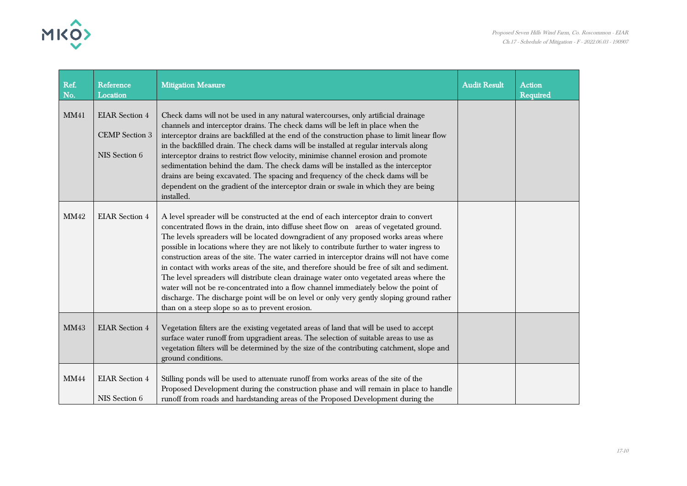

| Ref.<br>No. | Reference<br>Location                                           | <b>Mitigation Measure</b>                                                                                                                                                                                                                                                                                                                                                                                                                                                                                                                                                                                                                                                                                                                                                                                                                                                                          | <b>Audit Result</b> | <b>Action</b><br><b>Required</b> |
|-------------|-----------------------------------------------------------------|----------------------------------------------------------------------------------------------------------------------------------------------------------------------------------------------------------------------------------------------------------------------------------------------------------------------------------------------------------------------------------------------------------------------------------------------------------------------------------------------------------------------------------------------------------------------------------------------------------------------------------------------------------------------------------------------------------------------------------------------------------------------------------------------------------------------------------------------------------------------------------------------------|---------------------|----------------------------------|
| <b>MM41</b> | <b>EIAR</b> Section 4<br><b>CEMP</b> Section 3<br>NIS Section 6 | Check dams will not be used in any natural watercourses, only artificial drainage<br>channels and interceptor drains. The check dams will be left in place when the<br>interceptor drains are backfilled at the end of the construction phase to limit linear flow<br>in the backfilled drain. The check dams will be installed at regular intervals along<br>interceptor drains to restrict flow velocity, minimise channel erosion and promote<br>sedimentation behind the dam. The check dams will be installed as the interceptor<br>drains are being excavated. The spacing and frequency of the check dams will be<br>dependent on the gradient of the interceptor drain or swale in which they are being<br>installed.                                                                                                                                                                      |                     |                                  |
| <b>MM42</b> | <b>EIAR</b> Section 4                                           | A level spreader will be constructed at the end of each interceptor drain to convert<br>concentrated flows in the drain, into diffuse sheet flow on areas of vegetated ground.<br>The levels spreaders will be located downgradient of any proposed works areas where<br>possible in locations where they are not likely to contribute further to water ingress to<br>construction areas of the site. The water carried in interceptor drains will not have come<br>in contact with works areas of the site, and therefore should be free of silt and sediment.<br>The level spreaders will distribute clean drainage water onto vegetated areas where the<br>water will not be re-concentrated into a flow channel immediately below the point of<br>discharge. The discharge point will be on level or only very gently sloping ground rather<br>than on a steep slope so as to prevent erosion. |                     |                                  |
| <b>MM43</b> | <b>EIAR</b> Section 4                                           | Vegetation filters are the existing vegetated areas of land that will be used to accept<br>surface water runoff from upgradient areas. The selection of suitable areas to use as<br>vegetation filters will be determined by the size of the contributing catchment, slope and<br>ground conditions.                                                                                                                                                                                                                                                                                                                                                                                                                                                                                                                                                                                               |                     |                                  |
| <b>MM44</b> | <b>EIAR</b> Section 4<br>NIS Section 6                          | Stilling ponds will be used to attenuate runoff from works areas of the site of the<br>Proposed Development during the construction phase and will remain in place to handle<br>runoff from roads and hardstanding areas of the Proposed Development during the                                                                                                                                                                                                                                                                                                                                                                                                                                                                                                                                                                                                                                    |                     |                                  |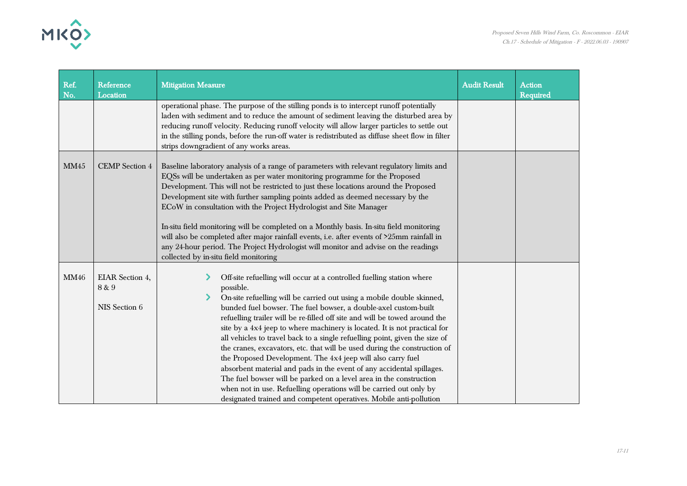

| Ref.<br>No. | Reference<br>Location                            | <b>Mitigation Measure</b>                                                                                                                                                                                                                                                                                                                                                                                                                                                                                                                                                                                                                                                                                                                                                                                                                                                                                       | <b>Audit Result</b> | <b>Action</b><br>Required |
|-------------|--------------------------------------------------|-----------------------------------------------------------------------------------------------------------------------------------------------------------------------------------------------------------------------------------------------------------------------------------------------------------------------------------------------------------------------------------------------------------------------------------------------------------------------------------------------------------------------------------------------------------------------------------------------------------------------------------------------------------------------------------------------------------------------------------------------------------------------------------------------------------------------------------------------------------------------------------------------------------------|---------------------|---------------------------|
|             |                                                  | operational phase. The purpose of the stilling ponds is to intercept runoff potentially<br>laden with sediment and to reduce the amount of sediment leaving the disturbed area by<br>reducing runoff velocity. Reducing runoff velocity will allow larger particles to settle out<br>in the stilling ponds, before the run-off water is redistributed as diffuse sheet flow in filter<br>strips downgradient of any works areas.                                                                                                                                                                                                                                                                                                                                                                                                                                                                                |                     |                           |
| <b>MM45</b> | <b>CEMP</b> Section 4                            | Baseline laboratory analysis of a range of parameters with relevant regulatory limits and<br>EQSs will be undertaken as per water monitoring programme for the Proposed<br>Development. This will not be restricted to just these locations around the Proposed<br>Development site with further sampling points added as deemed necessary by the<br>ECoW in consultation with the Project Hydrologist and Site Manager<br>In-situ field monitoring will be completed on a Monthly basis. In-situ field monitoring<br>will also be completed after major rainfall events, i.e. after events of >25mm rainfall in<br>any 24-hour period. The Project Hydrologist will monitor and advise on the readings<br>collected by in-situ field monitoring                                                                                                                                                                |                     |                           |
| <b>MM46</b> | <b>EIAR</b> Section 4,<br>8 & 9<br>NIS Section 6 | Off-site refuelling will occur at a controlled fuelling station where<br>possible.<br>On-site refuelling will be carried out using a mobile double skinned,<br>bunded fuel bowser. The fuel bowser, a double-axel custom-built<br>refuelling trailer will be re-filled off site and will be towed around the<br>site by a 4x4 jeep to where machinery is located. It is not practical for<br>all vehicles to travel back to a single refuelling point, given the size of<br>the cranes, excavators, etc. that will be used during the construction of<br>the Proposed Development. The 4x4 jeep will also carry fuel<br>absorbent material and pads in the event of any accidental spillages.<br>The fuel bowser will be parked on a level area in the construction<br>when not in use. Refuelling operations will be carried out only by<br>designated trained and competent operatives. Mobile anti-pollution |                     |                           |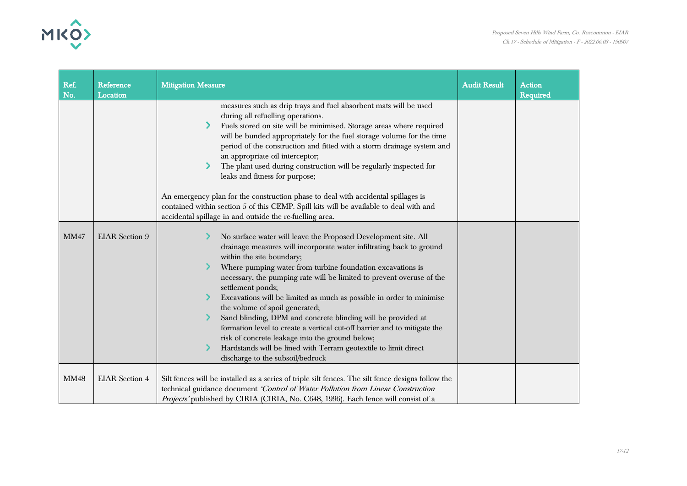



| Ref.<br>No. | Reference<br>Location | <b>Mitigation Measure</b>                                                                                                                                                                                                                                                                                                                                                                                                                                                                                                                                                                                                                                                                                                                       | <b>Audit Result</b> | <b>Action</b><br><b>Required</b> |
|-------------|-----------------------|-------------------------------------------------------------------------------------------------------------------------------------------------------------------------------------------------------------------------------------------------------------------------------------------------------------------------------------------------------------------------------------------------------------------------------------------------------------------------------------------------------------------------------------------------------------------------------------------------------------------------------------------------------------------------------------------------------------------------------------------------|---------------------|----------------------------------|
|             |                       | measures such as drip trays and fuel absorbent mats will be used<br>during all refuelling operations.<br>Fuels stored on site will be minimised. Storage areas where required<br>will be bunded appropriately for the fuel storage volume for the time<br>period of the construction and fitted with a storm drainage system and<br>an appropriate oil interceptor;<br>The plant used during construction will be regularly inspected for<br>leaks and fitness for purpose;<br>An emergency plan for the construction phase to deal with accidental spillages is<br>contained within section 5 of this CEMP. Spill kits will be available to deal with and<br>accidental spillage in and outside the re-fuelling area.                          |                     |                                  |
| <b>MM47</b> | <b>EIAR</b> Section 9 | No surface water will leave the Proposed Development site. All<br>drainage measures will incorporate water infiltrating back to ground<br>within the site boundary;<br>Where pumping water from turbine foundation excavations is<br>necessary, the pumping rate will be limited to prevent overuse of the<br>settlement ponds;<br>Excavations will be limited as much as possible in order to minimise<br>the volume of spoil generated;<br>Sand blinding, DPM and concrete blinding will be provided at<br>formation level to create a vertical cut-off barrier and to mitigate the<br>risk of concrete leakage into the ground below;<br>Hardstands will be lined with Terram geotextile to limit direct<br>discharge to the subsoil/bedrock |                     |                                  |
| <b>MM48</b> | <b>EIAR</b> Section 4 | Silt fences will be installed as a series of triple silt fences. The silt fence designs follow the<br>technical guidance document 'Control of Water Pollution from Linear Construction<br>Projects' published by CIRIA (CIRIA, No. C648, 1996). Each fence will consist of a                                                                                                                                                                                                                                                                                                                                                                                                                                                                    |                     |                                  |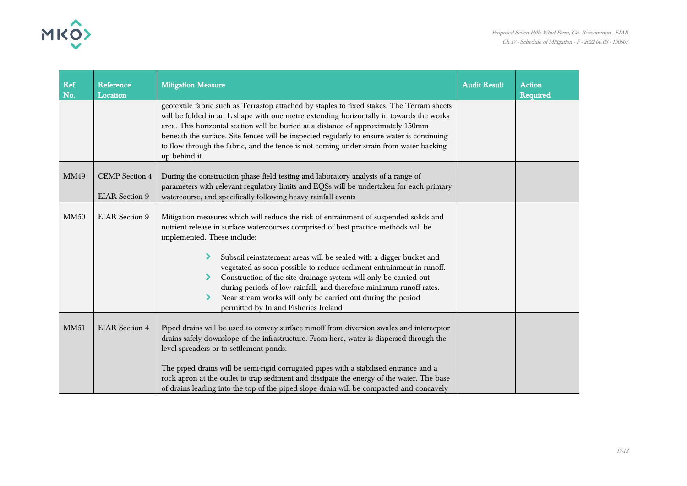

| Ref.<br>No. | Reference<br>Location                          | <b>Mitigation Measure</b>                                                                                                                                                                                                                                                                                                                                                                                                                                                                                                                                                                                       | <b>Audit Result</b> | <b>Action</b><br>Required |
|-------------|------------------------------------------------|-----------------------------------------------------------------------------------------------------------------------------------------------------------------------------------------------------------------------------------------------------------------------------------------------------------------------------------------------------------------------------------------------------------------------------------------------------------------------------------------------------------------------------------------------------------------------------------------------------------------|---------------------|---------------------------|
|             |                                                | geotextile fabric such as Terrastop attached by staples to fixed stakes. The Terram sheets<br>will be folded in an L shape with one metre extending horizontally in towards the works<br>area. This horizontal section will be buried at a distance of approximately 150mm<br>beneath the surface. Site fences will be inspected regularly to ensure water is continuing<br>to flow through the fabric, and the fence is not coming under strain from water backing<br>up behind it.                                                                                                                            |                     |                           |
| MM49        | <b>CEMP</b> Section 4<br><b>EIAR</b> Section 9 | During the construction phase field testing and laboratory analysis of a range of<br>parameters with relevant regulatory limits and EQSs will be undertaken for each primary<br>watercourse, and specifically following heavy rainfall events                                                                                                                                                                                                                                                                                                                                                                   |                     |                           |
| MM50        | <b>EIAR</b> Section 9                          | Mitigation measures which will reduce the risk of entrainment of suspended solids and<br>nutrient release in surface watercourses comprised of best practice methods will be<br>implemented. These include:<br>Subsoil reinstatement areas will be sealed with a digger bucket and<br>vegetated as soon possible to reduce sediment entrainment in runoff.<br>Construction of the site drainage system will only be carried out<br>during periods of low rainfall, and therefore minimum runoff rates.<br>Near stream works will only be carried out during the period<br>permitted by Inland Fisheries Ireland |                     |                           |
| MM51        | <b>EIAR Section 4</b>                          | Piped drains will be used to convey surface runoff from diversion swales and interceptor<br>drains safely downslope of the infrastructure. From here, water is dispersed through the<br>level spreaders or to settlement ponds.<br>The piped drains will be semi-rigid corrugated pipes with a stabilised entrance and a<br>rock apron at the outlet to trap sediment and dissipate the energy of the water. The base<br>of drains leading into the top of the piped slope drain will be compacted and concavely                                                                                                |                     |                           |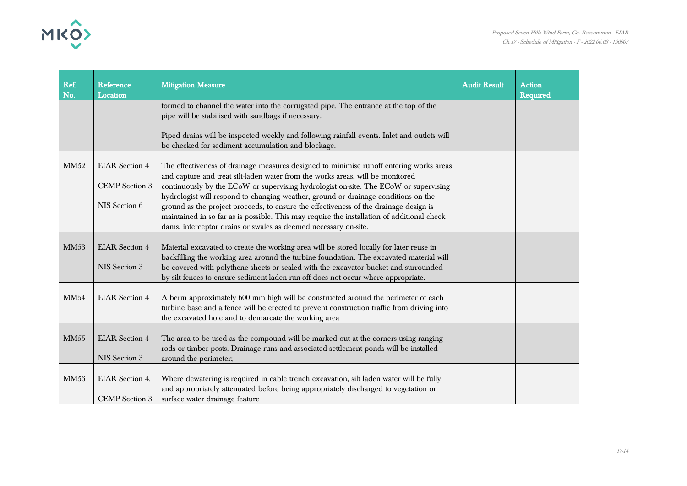

| Ref.<br>No. | <b>Reference</b><br>Location                                    | <b>Mitigation Measure</b>                                                                                                                                                                                                                                                                                                                                                                                                                                                                                                                                                                                         | <b>Audit Result</b> | <b>Action</b><br><b>Required</b> |
|-------------|-----------------------------------------------------------------|-------------------------------------------------------------------------------------------------------------------------------------------------------------------------------------------------------------------------------------------------------------------------------------------------------------------------------------------------------------------------------------------------------------------------------------------------------------------------------------------------------------------------------------------------------------------------------------------------------------------|---------------------|----------------------------------|
|             |                                                                 | formed to channel the water into the corrugated pipe. The entrance at the top of the<br>pipe will be stabilised with sandbags if necessary.                                                                                                                                                                                                                                                                                                                                                                                                                                                                       |                     |                                  |
|             |                                                                 | Piped drains will be inspected weekly and following rainfall events. Inlet and outlets will<br>be checked for sediment accumulation and blockage.                                                                                                                                                                                                                                                                                                                                                                                                                                                                 |                     |                                  |
| <b>MM52</b> | <b>EIAR</b> Section 4<br><b>CEMP</b> Section 3<br>NIS Section 6 | The effectiveness of drainage measures designed to minimise runoff entering works areas<br>and capture and treat silt-laden water from the works areas, will be monitored<br>continuously by the ECoW or supervising hydrologist on-site. The ECoW or supervising<br>hydrologist will respond to changing weather, ground or drainage conditions on the<br>ground as the project proceeds, to ensure the effectiveness of the drainage design is<br>maintained in so far as is possible. This may require the installation of additional check<br>dams, interceptor drains or swales as deemed necessary on-site. |                     |                                  |
| <b>MM53</b> | <b>EIAR</b> Section 4<br>NIS Section 3                          | Material excavated to create the working area will be stored locally for later reuse in<br>backfilling the working area around the turbine foundation. The excavated material will<br>be covered with polythene sheets or sealed with the excavator bucket and surrounded<br>by silt fences to ensure sediment-laden run-off does not occur where appropriate.                                                                                                                                                                                                                                                    |                     |                                  |
| MM54        | <b>EIAR</b> Section 4                                           | A berm approximately 600 mm high will be constructed around the perimeter of each<br>turbine base and a fence will be erected to prevent construction traffic from driving into<br>the excavated hole and to demarcate the working area                                                                                                                                                                                                                                                                                                                                                                           |                     |                                  |
| MM55        | <b>EIAR</b> Section 4<br>NIS Section 3                          | The area to be used as the compound will be marked out at the corners using ranging<br>rods or timber posts. Drainage runs and associated settlement ponds will be installed<br>around the perimeter;                                                                                                                                                                                                                                                                                                                                                                                                             |                     |                                  |
| <b>MM56</b> | <b>EIAR</b> Section 4.<br><b>CEMP</b> Section 3                 | Where dewatering is required in cable trench excavation, silt laden water will be fully<br>and appropriately attenuated before being appropriately discharged to vegetation or<br>surface water drainage feature                                                                                                                                                                                                                                                                                                                                                                                                  |                     |                                  |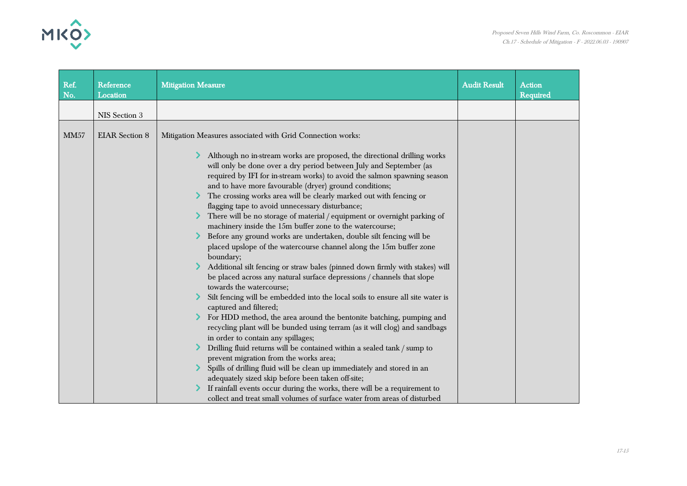

| Ref.<br>No. | Reference<br>Location | <b>Mitigation Measure</b>                                                                                                                                                                                                                                                                                                                                                                                                                                                                                                                                                                                                                                                                                                                                                                                                                                                                                                                                                                                                                                                                                                                                                                                                                                                                                                                                                                                                                                                                                                                      | <b>Audit Result</b> | <b>Action</b><br><b>Required</b> |
|-------------|-----------------------|------------------------------------------------------------------------------------------------------------------------------------------------------------------------------------------------------------------------------------------------------------------------------------------------------------------------------------------------------------------------------------------------------------------------------------------------------------------------------------------------------------------------------------------------------------------------------------------------------------------------------------------------------------------------------------------------------------------------------------------------------------------------------------------------------------------------------------------------------------------------------------------------------------------------------------------------------------------------------------------------------------------------------------------------------------------------------------------------------------------------------------------------------------------------------------------------------------------------------------------------------------------------------------------------------------------------------------------------------------------------------------------------------------------------------------------------------------------------------------------------------------------------------------------------|---------------------|----------------------------------|
|             | NIS Section 3         |                                                                                                                                                                                                                                                                                                                                                                                                                                                                                                                                                                                                                                                                                                                                                                                                                                                                                                                                                                                                                                                                                                                                                                                                                                                                                                                                                                                                                                                                                                                                                |                     |                                  |
| <b>MM57</b> | <b>EIAR</b> Section 8 | Mitigation Measures associated with Grid Connection works:                                                                                                                                                                                                                                                                                                                                                                                                                                                                                                                                                                                                                                                                                                                                                                                                                                                                                                                                                                                                                                                                                                                                                                                                                                                                                                                                                                                                                                                                                     |                     |                                  |
|             |                       |                                                                                                                                                                                                                                                                                                                                                                                                                                                                                                                                                                                                                                                                                                                                                                                                                                                                                                                                                                                                                                                                                                                                                                                                                                                                                                                                                                                                                                                                                                                                                |                     |                                  |
|             |                       | Although no in-stream works are proposed, the directional drilling works<br>will only be done over a dry period between July and September (as<br>required by IFI for in-stream works) to avoid the salmon spawning season<br>and to have more favourable (dryer) ground conditions;<br>The crossing works area will be clearly marked out with fencing or<br>flagging tape to avoid unnecessary disturbance;<br>There will be no storage of material / equipment or overnight parking of<br>machinery inside the 15m buffer zone to the watercourse;<br>Before any ground works are undertaken, double silt fencing will be<br>placed upslope of the watercourse channel along the 15m buffer zone<br>boundary;<br>Additional silt fencing or straw bales (pinned down firmly with stakes) will<br>be placed across any natural surface depressions / channels that slope<br>towards the watercourse;<br>Silt fencing will be embedded into the local soils to ensure all site water is<br>captured and filtered;<br>For HDD method, the area around the bentonite batching, pumping and<br>recycling plant will be bunded using terram (as it will clog) and sandbags<br>in order to contain any spillages;<br>Drilling fluid returns will be contained within a sealed tank / sump to<br>prevent migration from the works area;<br>Spills of drilling fluid will be clean up immediately and stored in an<br>adequately sized skip before been taken off-site;<br>If rainfall events occur during the works, there will be a requirement to |                     |                                  |
|             |                       | collect and treat small volumes of surface water from areas of disturbed                                                                                                                                                                                                                                                                                                                                                                                                                                                                                                                                                                                                                                                                                                                                                                                                                                                                                                                                                                                                                                                                                                                                                                                                                                                                                                                                                                                                                                                                       |                     |                                  |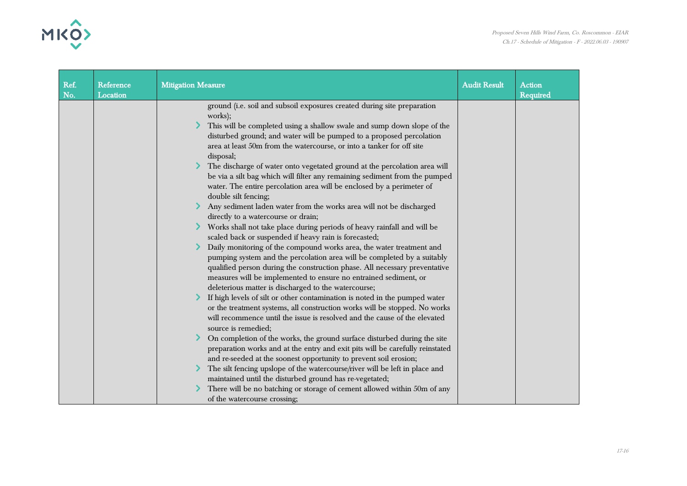MKO

| Ref.<br>No. | Reference<br>Location | <b>Mitigation Measure</b>                                                                                                                                                                                                                                                                                                                                                                                                                                                                                                                                                                                                                                                                                                                                                                                                                                                                                                                                                                                                                                                                                                                                                                                                                                                                                                                                                                                                                                                                                                                                                                                                                                                                                                                                                                                                                                                                                                                                      | <b>Audit Result</b> | <b>Action</b><br>Required |
|-------------|-----------------------|----------------------------------------------------------------------------------------------------------------------------------------------------------------------------------------------------------------------------------------------------------------------------------------------------------------------------------------------------------------------------------------------------------------------------------------------------------------------------------------------------------------------------------------------------------------------------------------------------------------------------------------------------------------------------------------------------------------------------------------------------------------------------------------------------------------------------------------------------------------------------------------------------------------------------------------------------------------------------------------------------------------------------------------------------------------------------------------------------------------------------------------------------------------------------------------------------------------------------------------------------------------------------------------------------------------------------------------------------------------------------------------------------------------------------------------------------------------------------------------------------------------------------------------------------------------------------------------------------------------------------------------------------------------------------------------------------------------------------------------------------------------------------------------------------------------------------------------------------------------------------------------------------------------------------------------------------------------|---------------------|---------------------------|
|             |                       | ground (i.e. soil and subsoil exposures created during site preparation<br>works);<br>This will be completed using a shallow swale and sump down slope of the<br>disturbed ground; and water will be pumped to a proposed percolation<br>area at least 50m from the watercourse, or into a tanker for off site<br>disposal;<br>The discharge of water onto vegetated ground at the percolation area will<br>be via a silt bag which will filter any remaining sediment from the pumped<br>water. The entire percolation area will be enclosed by a perimeter of<br>double silt fencing;<br>Any sediment laden water from the works area will not be discharged<br>directly to a watercourse or drain;<br>Works shall not take place during periods of heavy rainfall and will be<br>scaled back or suspended if heavy rain is forecasted;<br>Daily monitoring of the compound works area, the water treatment and<br>pumping system and the percolation area will be completed by a suitably<br>qualified person during the construction phase. All necessary preventative<br>measures will be implemented to ensure no entrained sediment, or<br>deleterious matter is discharged to the watercourse;<br>If high levels of silt or other contamination is noted in the pumped water<br>or the treatment systems, all construction works will be stopped. No works<br>will recommence until the issue is resolved and the cause of the elevated<br>source is remedied;<br>On completion of the works, the ground surface disturbed during the site<br>preparation works and at the entry and exit pits will be carefully reinstated<br>and re-seeded at the soonest opportunity to prevent soil erosion;<br>The silt fencing upslope of the watercourse/river will be left in place and<br>maintained until the disturbed ground has re-vegetated;<br>There will be no batching or storage of cement allowed within 50m of any<br>of the watercourse crossing; |                     |                           |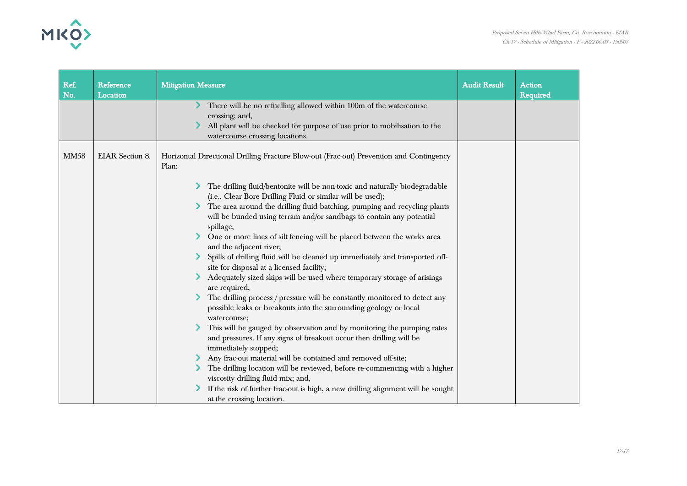

| Ref.<br>Reference                     | <b>Mitigation Measure</b>                                                                                                                                                                                                                                                                                                                                                                                                                                                                                                                                                                                                                                                                                                                                                                                                                                                                                                                                                                                                                                                                                                                                                                                                                                                                   | <b>Audit Result</b> | <b>Action</b> |
|---------------------------------------|---------------------------------------------------------------------------------------------------------------------------------------------------------------------------------------------------------------------------------------------------------------------------------------------------------------------------------------------------------------------------------------------------------------------------------------------------------------------------------------------------------------------------------------------------------------------------------------------------------------------------------------------------------------------------------------------------------------------------------------------------------------------------------------------------------------------------------------------------------------------------------------------------------------------------------------------------------------------------------------------------------------------------------------------------------------------------------------------------------------------------------------------------------------------------------------------------------------------------------------------------------------------------------------------|---------------------|---------------|
| No.<br>Location                       |                                                                                                                                                                                                                                                                                                                                                                                                                                                                                                                                                                                                                                                                                                                                                                                                                                                                                                                                                                                                                                                                                                                                                                                                                                                                                             |                     | Required      |
|                                       | There will be no refuelling allowed within 100m of the watercourse<br>crossing; and,<br>All plant will be checked for purpose of use prior to mobilisation to the<br>watercourse crossing locations.                                                                                                                                                                                                                                                                                                                                                                                                                                                                                                                                                                                                                                                                                                                                                                                                                                                                                                                                                                                                                                                                                        |                     |               |
| <b>EIAR</b> Section 8.<br><b>MM58</b> | Horizontal Directional Drilling Fracture Blow-out (Frac-out) Prevention and Contingency<br>Plan:                                                                                                                                                                                                                                                                                                                                                                                                                                                                                                                                                                                                                                                                                                                                                                                                                                                                                                                                                                                                                                                                                                                                                                                            |                     |               |
|                                       | The drilling fluid/bentonite will be non-toxic and naturally biodegradable<br>(i.e., Clear Bore Drilling Fluid or similar will be used);<br>The area around the drilling fluid batching, pumping and recycling plants<br>will be bunded using terram and/or sandbags to contain any potential<br>spillage;<br>One or more lines of silt fencing will be placed between the works area<br>and the adjacent river;<br>Spills of drilling fluid will be cleaned up immediately and transported off-<br>site for disposal at a licensed facility;<br>Adequately sized skips will be used where temporary storage of arisings<br>are required;<br>The drilling process / pressure will be constantly monitored to detect any<br>possible leaks or breakouts into the surrounding geology or local<br>watercourse;<br>This will be gauged by observation and by monitoring the pumping rates<br>and pressures. If any signs of breakout occur then drilling will be<br>immediately stopped;<br>Any frac-out material will be contained and removed off-site;<br>The drilling location will be reviewed, before re-commencing with a higher<br>viscosity drilling fluid mix; and,<br>If the risk of further frac-out is high, a new drilling alignment will be sought<br>at the crossing location. |                     |               |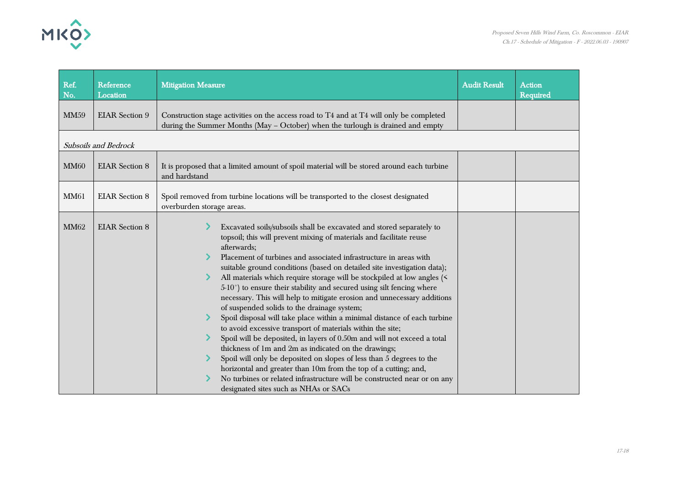

| Ref.<br>No. | Reference<br>Location       | <b>Mitigation Measure</b>                                                                                                                                                                                                                                                                                                                                                                                                                                                                                                                                                                                                                                                                                                                                                                                                                                                                                                                                                                                                                                                                                                                       | <b>Audit Result</b> | <b>Action</b><br><b>Required</b> |  |  |
|-------------|-----------------------------|-------------------------------------------------------------------------------------------------------------------------------------------------------------------------------------------------------------------------------------------------------------------------------------------------------------------------------------------------------------------------------------------------------------------------------------------------------------------------------------------------------------------------------------------------------------------------------------------------------------------------------------------------------------------------------------------------------------------------------------------------------------------------------------------------------------------------------------------------------------------------------------------------------------------------------------------------------------------------------------------------------------------------------------------------------------------------------------------------------------------------------------------------|---------------------|----------------------------------|--|--|
| <b>MM59</b> | <b>EIAR</b> Section 9       | Construction stage activities on the access road to T4 and at T4 will only be completed<br>during the Summer Months (May - October) when the turlough is drained and empty                                                                                                                                                                                                                                                                                                                                                                                                                                                                                                                                                                                                                                                                                                                                                                                                                                                                                                                                                                      |                     |                                  |  |  |
|             | <b>Subsoils and Bedrock</b> |                                                                                                                                                                                                                                                                                                                                                                                                                                                                                                                                                                                                                                                                                                                                                                                                                                                                                                                                                                                                                                                                                                                                                 |                     |                                  |  |  |
| <b>MM60</b> | <b>EIAR</b> Section 8       | It is proposed that a limited amount of spoil material will be stored around each turbine<br>and hardstand                                                                                                                                                                                                                                                                                                                                                                                                                                                                                                                                                                                                                                                                                                                                                                                                                                                                                                                                                                                                                                      |                     |                                  |  |  |
| <b>MM61</b> | <b>EIAR</b> Section 8       | Spoil removed from turbine locations will be transported to the closest designated<br>overburden storage areas.                                                                                                                                                                                                                                                                                                                                                                                                                                                                                                                                                                                                                                                                                                                                                                                                                                                                                                                                                                                                                                 |                     |                                  |  |  |
| <b>MM62</b> | <b>EIAR</b> Section 8       | Excavated soils/subsoils shall be excavated and stored separately to<br>topsoil; this will prevent mixing of materials and facilitate reuse<br>afterwards;<br>Placement of turbines and associated infrastructure in areas with<br>suitable ground conditions (based on detailed site investigation data);<br>All materials which require storage will be stockpiled at low angles (<<br>$5-10^{\circ}$ ) to ensure their stability and secured using silt fencing where<br>necessary. This will help to mitigate erosion and unnecessary additions<br>of suspended solids to the drainage system;<br>Spoil disposal will take place within a minimal distance of each turbine<br>to avoid excessive transport of materials within the site;<br>Spoil will be deposited, in layers of 0.50m and will not exceed a total<br>thickness of 1m and 2m as indicated on the drawings;<br>Spoil will only be deposited on slopes of less than 5 degrees to the<br>horizontal and greater than 10m from the top of a cutting; and,<br>No turbines or related infrastructure will be constructed near or on any<br>designated sites such as NHAs or SACs |                     |                                  |  |  |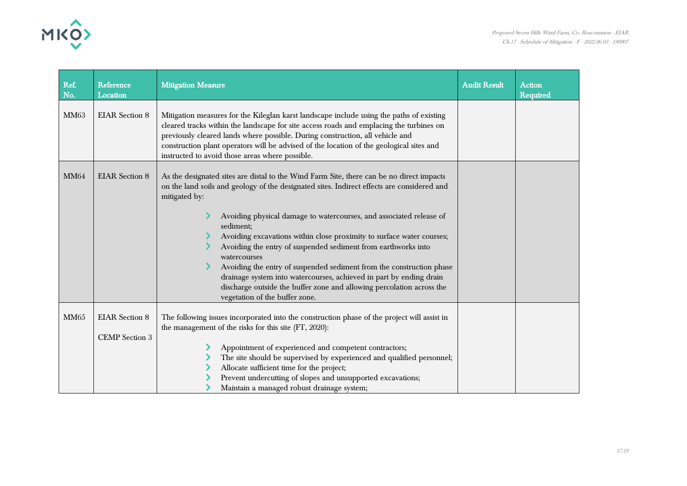

| Ref.<br>No. | Reference<br>Location                          | <b>Mitigation Measure</b>                                                                                                                                                                                                                                                                                                                                                                                                                                                                                                                                                                                                                                                                                       | <b>Audit Result</b> | <b>Action</b><br><b>Required</b> |
|-------------|------------------------------------------------|-----------------------------------------------------------------------------------------------------------------------------------------------------------------------------------------------------------------------------------------------------------------------------------------------------------------------------------------------------------------------------------------------------------------------------------------------------------------------------------------------------------------------------------------------------------------------------------------------------------------------------------------------------------------------------------------------------------------|---------------------|----------------------------------|
| <b>MM63</b> | <b>EIAR</b> Section 8                          | Mitigation measures for the Kileglan karst landscape include using the paths of existing<br>cleared tracks within the landscape for site access roads and emplacing the turbines on<br>previously cleared lands where possible. During construction, all vehicle and<br>construction plant operators will be advised of the location of the geological sites and<br>instructed to avoid those areas where possible.                                                                                                                                                                                                                                                                                             |                     |                                  |
| <b>MM64</b> | <b>EIAR</b> Section 8                          | As the designated sites are distal to the Wind Farm Site, there can be no direct impacts<br>on the land soils and geology of the designated sites. Indirect effects are considered and<br>mitigated by:<br>Avoiding physical damage to watercourses, and associated release of<br>sediment;<br>Avoiding excavations within close proximity to surface water courses;<br>Avoiding the entry of suspended sediment from earthworks into<br>watercourses<br>Avoiding the entry of suspended sediment from the construction phase<br>drainage system into watercourses, achieved in part by ending drain<br>discharge outside the buffer zone and allowing percolation across the<br>vegetation of the buffer zone. |                     |                                  |
| <b>MM65</b> | <b>EIAR</b> Section 8<br><b>CEMP</b> Section 3 | The following issues incorporated into the construction phase of the project will assist in<br>the management of the risks for this site (FT, 2020):<br>Appointment of experienced and competent contractors;<br>The site should be supervised by experienced and qualified personnel;<br>Allocate sufficient time for the project;<br>Prevent undercutting of slopes and unsupported excavations;<br>Maintain a managed robust drainage system;                                                                                                                                                                                                                                                                |                     |                                  |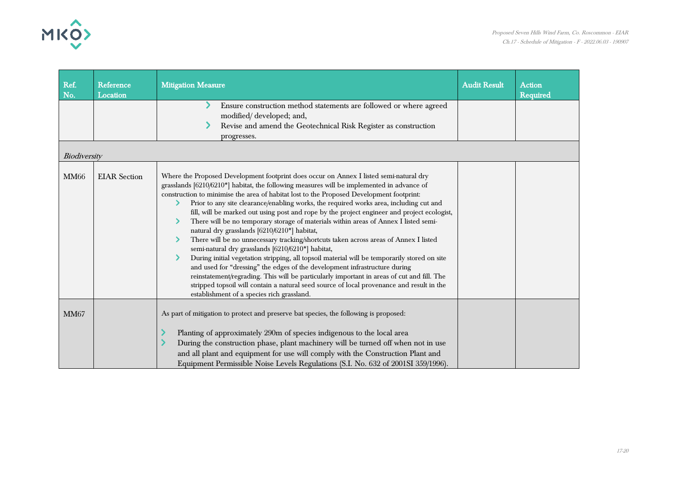

| Ref.<br>No.  | Reference<br>Location | <b>Mitigation Measure</b>                                                                                                                                                                                                                                                                                                                                                                                                                                                                                                                                                                                                                                                                                                                                                                                                                                                                                                                                                                                                                                                                                                                                                            | <b>Audit Result</b> | <b>Action</b><br><b>Required</b> |
|--------------|-----------------------|--------------------------------------------------------------------------------------------------------------------------------------------------------------------------------------------------------------------------------------------------------------------------------------------------------------------------------------------------------------------------------------------------------------------------------------------------------------------------------------------------------------------------------------------------------------------------------------------------------------------------------------------------------------------------------------------------------------------------------------------------------------------------------------------------------------------------------------------------------------------------------------------------------------------------------------------------------------------------------------------------------------------------------------------------------------------------------------------------------------------------------------------------------------------------------------|---------------------|----------------------------------|
|              |                       | Ensure construction method statements are followed or where agreed                                                                                                                                                                                                                                                                                                                                                                                                                                                                                                                                                                                                                                                                                                                                                                                                                                                                                                                                                                                                                                                                                                                   |                     |                                  |
|              |                       | modified/developed; and,<br>Revise and amend the Geotechnical Risk Register as construction                                                                                                                                                                                                                                                                                                                                                                                                                                                                                                                                                                                                                                                                                                                                                                                                                                                                                                                                                                                                                                                                                          |                     |                                  |
|              |                       | progresses.                                                                                                                                                                                                                                                                                                                                                                                                                                                                                                                                                                                                                                                                                                                                                                                                                                                                                                                                                                                                                                                                                                                                                                          |                     |                                  |
| Biodiversity |                       |                                                                                                                                                                                                                                                                                                                                                                                                                                                                                                                                                                                                                                                                                                                                                                                                                                                                                                                                                                                                                                                                                                                                                                                      |                     |                                  |
| <b>MM66</b>  | <b>EIAR</b> Section   | Where the Proposed Development footprint does occur on Annex I listed semi-natural dry<br>grasslands [6210/6210*] habitat, the following measures will be implemented in advance of<br>construction to minimise the area of habitat lost to the Proposed Development footprint:<br>Prior to any site clearance/enabling works, the required works area, including cut and<br>fill, will be marked out using post and rope by the project engineer and project ecologist,<br>There will be no temporary storage of materials within areas of Annex I listed semi-<br>natural dry grasslands [6210/6210*] habitat,<br>There will be no unnecessary tracking/shortcuts taken across areas of Annex I listed<br>semi-natural dry grasslands [6210/6210*] habitat,<br>During initial vegetation stripping, all topsoil material will be temporarily stored on site<br>and used for "dressing" the edges of the development infrastructure during<br>reinstatement/regrading. This will be particularly important in areas of cut and fill. The<br>stripped topsoil will contain a natural seed source of local provenance and result in the<br>establishment of a species rich grassland. |                     |                                  |
| <b>MM67</b>  |                       | As part of mitigation to protect and preserve bat species, the following is proposed:<br>Planting of approximately 290m of species indigenous to the local area<br>During the construction phase, plant machinery will be turned off when not in use                                                                                                                                                                                                                                                                                                                                                                                                                                                                                                                                                                                                                                                                                                                                                                                                                                                                                                                                 |                     |                                  |
|              |                       | and all plant and equipment for use will comply with the Construction Plant and<br>Equipment Permissible Noise Levels Regulations (S.I. No. 632 of 2001SI 359/1996).                                                                                                                                                                                                                                                                                                                                                                                                                                                                                                                                                                                                                                                                                                                                                                                                                                                                                                                                                                                                                 |                     |                                  |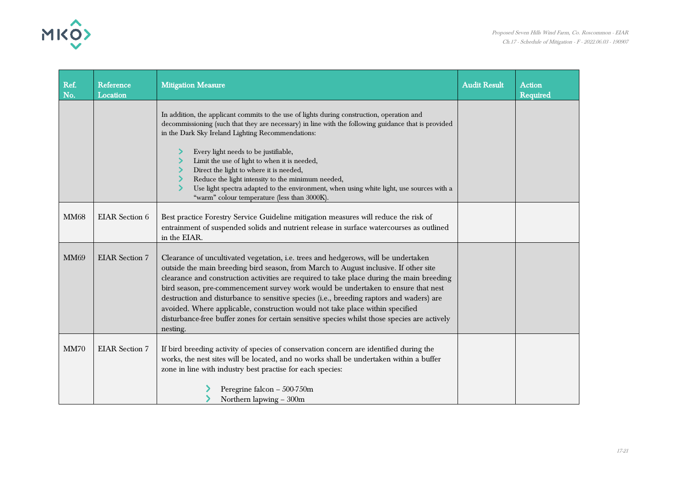

| Ref.<br>No. | Reference<br>Location | <b>Mitigation Measure</b>                                                                                                                                                                                                                                                                                                                                                                                                                                                                                                                                                                                                                              | <b>Audit Result</b> | <b>Action</b><br>Required |
|-------------|-----------------------|--------------------------------------------------------------------------------------------------------------------------------------------------------------------------------------------------------------------------------------------------------------------------------------------------------------------------------------------------------------------------------------------------------------------------------------------------------------------------------------------------------------------------------------------------------------------------------------------------------------------------------------------------------|---------------------|---------------------------|
|             |                       | In addition, the applicant commits to the use of lights during construction, operation and<br>decommissioning (such that they are necessary) in line with the following guidance that is provided<br>in the Dark Sky Ireland Lighting Recommendations:<br>Every light needs to be justifiable,<br>Limit the use of light to when it is needed,<br>Direct the light to where it is needed,<br>Reduce the light intensity to the minimum needed,<br>Use light spectra adapted to the environment, when using white light, use sources with a<br>"warm" colour temperature (less than 3000K).                                                             |                     |                           |
| <b>MM68</b> | <b>EIAR</b> Section 6 | Best practice Forestry Service Guideline mitigation measures will reduce the risk of<br>entrainment of suspended solids and nutrient release in surface watercourses as outlined<br>in the EIAR.                                                                                                                                                                                                                                                                                                                                                                                                                                                       |                     |                           |
| <b>MM69</b> | <b>EIAR</b> Section 7 | Clearance of uncultivated vegetation, i.e. trees and hedgerows, will be undertaken<br>outside the main breeding bird season, from March to August inclusive. If other site<br>clearance and construction activities are required to take place during the main breeding<br>bird season, pre-commencement survey work would be undertaken to ensure that nest<br>destruction and disturbance to sensitive species (i.e., breeding raptors and waders) are<br>avoided. Where applicable, construction would not take place within specified<br>disturbance-free buffer zones for certain sensitive species whilst those species are actively<br>nesting. |                     |                           |
| <b>MM70</b> | <b>EIAR</b> Section 7 | If bird breeding activity of species of conservation concern are identified during the<br>works, the nest sites will be located, and no works shall be undertaken within a buffer<br>zone in line with industry best practise for each species:<br>Peregrine falcon - 500-750m<br>Northern lapwing - 300m                                                                                                                                                                                                                                                                                                                                              |                     |                           |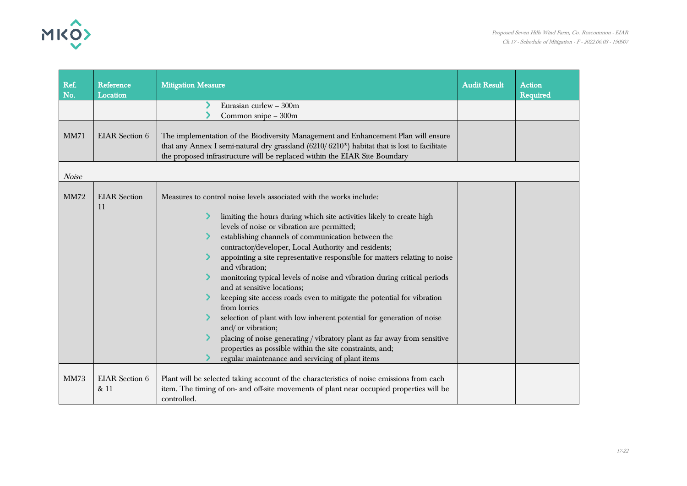

| Ref.<br>No.          | Reference<br>Location         | <b>Mitigation Measure</b>                                                                                                                                                                                                                                                                                                                                                                                                                                                                                                                                                                                                                                                                                                                                                                                                                                                                                  | <b>Audit Result</b> | <b>Action</b><br>Required |
|----------------------|-------------------------------|------------------------------------------------------------------------------------------------------------------------------------------------------------------------------------------------------------------------------------------------------------------------------------------------------------------------------------------------------------------------------------------------------------------------------------------------------------------------------------------------------------------------------------------------------------------------------------------------------------------------------------------------------------------------------------------------------------------------------------------------------------------------------------------------------------------------------------------------------------------------------------------------------------|---------------------|---------------------------|
|                      |                               | Eurasian curlew - 300m<br>Common snipe - 300m                                                                                                                                                                                                                                                                                                                                                                                                                                                                                                                                                                                                                                                                                                                                                                                                                                                              |                     |                           |
| <b>MM71</b><br>Noise | <b>EIAR</b> Section 6         | The implementation of the Biodiversity Management and Enhancement Plan will ensure<br>that any Annex I semi-natural dry grassland (6210/6210*) habitat that is lost to facilitate<br>the proposed infrastructure will be replaced within the EIAR Site Boundary                                                                                                                                                                                                                                                                                                                                                                                                                                                                                                                                                                                                                                            |                     |                           |
| <b>MM72</b>          | <b>EIAR</b> Section<br>11     | Measures to control noise levels associated with the works include:<br>limiting the hours during which site activities likely to create high<br>levels of noise or vibration are permitted;<br>establishing channels of communication between the<br>contractor/developer, Local Authority and residents;<br>appointing a site representative responsible for matters relating to noise<br>and vibration;<br>monitoring typical levels of noise and vibration during critical periods<br>and at sensitive locations;<br>keeping site access roads even to mitigate the potential for vibration<br>from lorries<br>selection of plant with low inherent potential for generation of noise<br>and/ or vibration;<br>placing of noise generating / vibratory plant as far away from sensitive<br>properties as possible within the site constraints, and;<br>regular maintenance and servicing of plant items |                     |                           |
| <b>MM73</b>          | <b>EIAR</b> Section 6<br>& 11 | Plant will be selected taking account of the characteristics of noise emissions from each<br>item. The timing of on- and off-site movements of plant near occupied properties will be<br>controlled.                                                                                                                                                                                                                                                                                                                                                                                                                                                                                                                                                                                                                                                                                                       |                     |                           |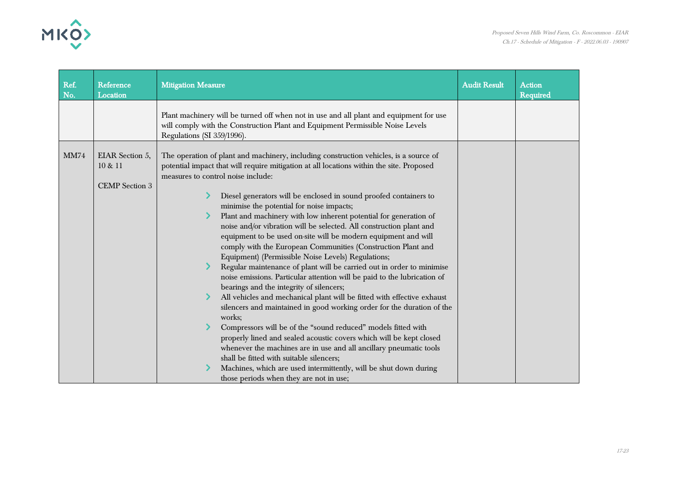

| Ref.<br>No. | Reference<br>Location                               | <b>Mitigation Measure</b>                                                                                                                                                                                                                                                                                                                                                     | <b>Audit Result</b> | <b>Action</b><br><b>Required</b> |
|-------------|-----------------------------------------------------|-------------------------------------------------------------------------------------------------------------------------------------------------------------------------------------------------------------------------------------------------------------------------------------------------------------------------------------------------------------------------------|---------------------|----------------------------------|
|             |                                                     | Plant machinery will be turned off when not in use and all plant and equipment for use<br>will comply with the Construction Plant and Equipment Permissible Noise Levels<br>Regulations (SI 359/1996).                                                                                                                                                                        |                     |                                  |
| <b>MM74</b> | EIAR Section 5,<br>10 & 11<br><b>CEMP</b> Section 3 | The operation of plant and machinery, including construction vehicles, is a source of<br>potential impact that will require mitigation at all locations within the site. Proposed<br>measures to control noise include:<br>Diesel generators will be enclosed in sound proofed containers to                                                                                  |                     |                                  |
|             |                                                     | minimise the potential for noise impacts;<br>Plant and machinery with low inherent potential for generation of<br>noise and/or vibration will be selected. All construction plant and<br>equipment to be used on-site will be modern equipment and will<br>comply with the European Communities (Construction Plant and<br>Equipment) (Permissible Noise Levels) Regulations; |                     |                                  |
|             |                                                     | Regular maintenance of plant will be carried out in order to minimise<br>noise emissions. Particular attention will be paid to the lubrication of<br>bearings and the integrity of silencers;<br>All vehicles and mechanical plant will be fitted with effective exhaust<br>silencers and maintained in good working order for the duration of the<br>works;                  |                     |                                  |
|             |                                                     | Compressors will be of the "sound reduced" models fitted with<br>properly lined and sealed acoustic covers which will be kept closed<br>whenever the machines are in use and all ancillary pneumatic tools<br>shall be fitted with suitable silencers;<br>Machines, which are used intermittently, will be shut down during<br>those periods when they are not in use;        |                     |                                  |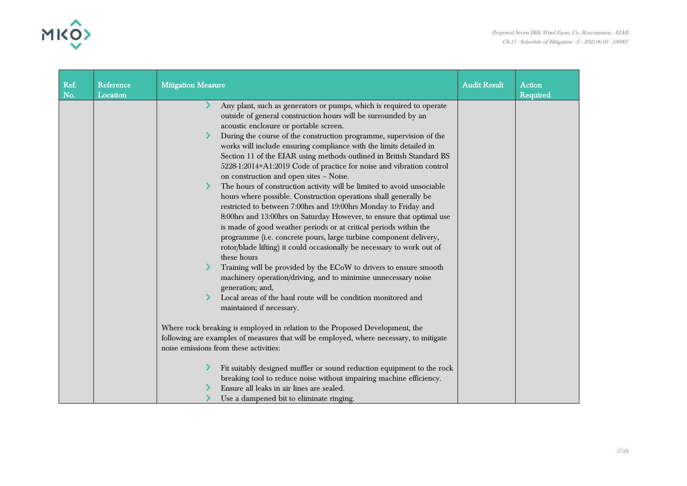

| Ref.<br>No. | Reference<br>Location | <b>Mitigation Measure</b>                                                                                                                                                                                                                                                                                                                                                                                                                                                                                                                                                                                                                                                   | <b>Audit Result</b> | <b>Action</b><br><b>Required</b> |
|-------------|-----------------------|-----------------------------------------------------------------------------------------------------------------------------------------------------------------------------------------------------------------------------------------------------------------------------------------------------------------------------------------------------------------------------------------------------------------------------------------------------------------------------------------------------------------------------------------------------------------------------------------------------------------------------------------------------------------------------|---------------------|----------------------------------|
|             |                       | Any plant, such as generators or pumps, which is required to operate<br>outside of general construction hours will be surrounded by an<br>acoustic enclosure or portable screen.<br>During the course of the construction programme, supervision of the<br>works will include ensuring compliance with the limits detailed in<br>Section 11 of the EIAR using methods outlined in British Standard BS<br>5228-1:2014+A1:2019 Code of practice for noise and vibration control<br>on construction and open sites - Noise.<br>The hours of construction activity will be limited to avoid unsociable<br>⋗<br>hours where possible. Construction operations shall generally be |                     |                                  |
|             |                       | restricted to between 7:00hrs and 19:00hrs Monday to Friday and<br>8:00hrs and 13:00hrs on Saturday However, to ensure that optimal use<br>is made of good weather periods or at critical periods within the<br>programme (i.e. concrete pours, large turbine component delivery,<br>rotor/blade lifting) it could occasionally be necessary to work out of<br>these hours                                                                                                                                                                                                                                                                                                  |                     |                                  |
|             |                       | Training will be provided by the ECoW to drivers to ensure smooth<br>machinery operation/driving, and to minimise unnecessary noise<br>generation; and,<br>Local areas of the haul route will be condition monitored and                                                                                                                                                                                                                                                                                                                                                                                                                                                    |                     |                                  |
|             |                       | maintained if necessary.                                                                                                                                                                                                                                                                                                                                                                                                                                                                                                                                                                                                                                                    |                     |                                  |
|             |                       | Where rock breaking is employed in relation to the Proposed Development, the<br>following are examples of measures that will be employed, where necessary, to mitigate<br>noise emissions from these activities:                                                                                                                                                                                                                                                                                                                                                                                                                                                            |                     |                                  |
|             |                       | Fit suitably designed muffler or sound reduction equipment to the rock<br>breaking tool to reduce noise without impairing machine efficiency.<br>Ensure all leaks in air lines are sealed.<br>Use a dampened bit to eliminate ringing.                                                                                                                                                                                                                                                                                                                                                                                                                                      |                     |                                  |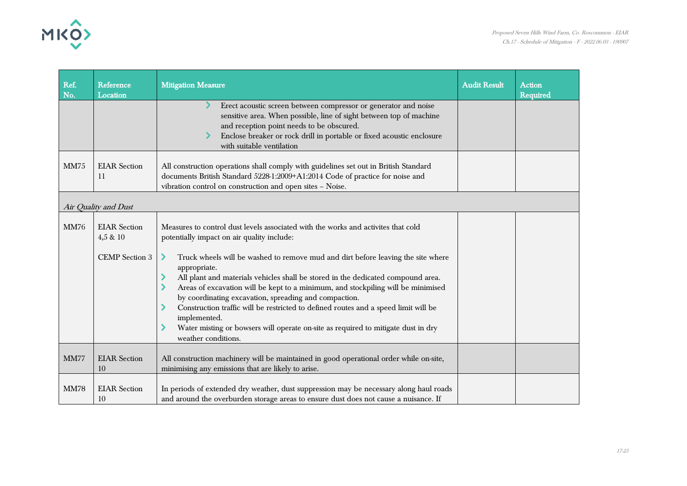

| Ref.<br>No. | Reference<br>Location                                       | <b>Mitigation Measure</b>                                                                                                                                                                                                                                                                                                                                                                                                                                                                                                                                                                                                                                                                    | <b>Audit Result</b> | <b>Action</b><br><b>Required</b> |
|-------------|-------------------------------------------------------------|----------------------------------------------------------------------------------------------------------------------------------------------------------------------------------------------------------------------------------------------------------------------------------------------------------------------------------------------------------------------------------------------------------------------------------------------------------------------------------------------------------------------------------------------------------------------------------------------------------------------------------------------------------------------------------------------|---------------------|----------------------------------|
|             |                                                             | Erect acoustic screen between compressor or generator and noise<br>sensitive area. When possible, line of sight between top of machine<br>and reception point needs to be obscured.<br>Enclose breaker or rock drill in portable or fixed acoustic enclosure<br>with suitable ventilation                                                                                                                                                                                                                                                                                                                                                                                                    |                     |                                  |
| <b>MM75</b> | <b>EIAR</b> Section<br>11                                   | All construction operations shall comply with guidelines set out in British Standard<br>documents British Standard 5228-1:2009+A1:2014 Code of practice for noise and<br>vibration control on construction and open sites - Noise.                                                                                                                                                                                                                                                                                                                                                                                                                                                           |                     |                                  |
|             | Air Quality and Dust                                        |                                                                                                                                                                                                                                                                                                                                                                                                                                                                                                                                                                                                                                                                                              |                     |                                  |
| <b>MM76</b> | <b>EIAR</b> Section<br>$4,5 \& 10$<br><b>CEMP</b> Section 3 | Measures to control dust levels associated with the works and activites that cold<br>potentially impact on air quality include:<br>Truck wheels will be washed to remove mud and dirt before leaving the site where<br>⋗<br>appropriate.<br>All plant and materials vehicles shall be stored in the dedicated compound area.<br>Areas of excavation will be kept to a minimum, and stockpiling will be minimised<br>by coordinating excavation, spreading and compaction.<br>Construction traffic will be restricted to defined routes and a speed limit will be<br>implemented.<br>Water misting or bowsers will operate on-site as required to mitigate dust in dry<br>weather conditions. |                     |                                  |
| <b>MM77</b> | <b>EIAR</b> Section<br>10                                   | All construction machinery will be maintained in good operational order while on-site,<br>minimising any emissions that are likely to arise.                                                                                                                                                                                                                                                                                                                                                                                                                                                                                                                                                 |                     |                                  |
| <b>MM78</b> | <b>EIAR</b> Section<br>10                                   | In periods of extended dry weather, dust suppression may be necessary along haul roads<br>and around the overburden storage areas to ensure dust does not cause a nuisance. If                                                                                                                                                                                                                                                                                                                                                                                                                                                                                                               |                     |                                  |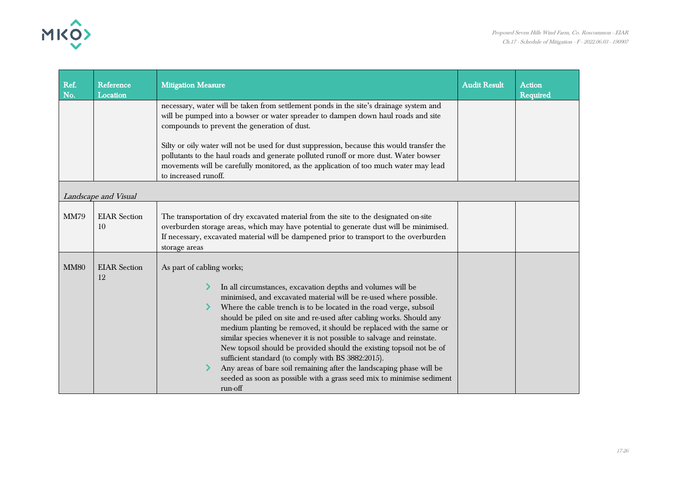

| Ref.<br>No. | Reference<br>Location     | <b>Mitigation Measure</b>                                                                                                                                                                                                                                                                                                                                                                                                                                                                                                                                                                                                                                                                                                                           | <b>Audit Result</b> | <b>Action</b><br>Required |
|-------------|---------------------------|-----------------------------------------------------------------------------------------------------------------------------------------------------------------------------------------------------------------------------------------------------------------------------------------------------------------------------------------------------------------------------------------------------------------------------------------------------------------------------------------------------------------------------------------------------------------------------------------------------------------------------------------------------------------------------------------------------------------------------------------------------|---------------------|---------------------------|
|             |                           | necessary, water will be taken from settlement ponds in the site's drainage system and<br>will be pumped into a bowser or water spreader to dampen down haul roads and site<br>compounds to prevent the generation of dust.<br>Silty or oily water will not be used for dust suppression, because this would transfer the<br>pollutants to the haul roads and generate polluted runoff or more dust. Water bowser<br>movements will be carefully monitored, as the application of too much water may lead<br>to increased runoff.                                                                                                                                                                                                                   |                     |                           |
|             | Landscape and Visual      |                                                                                                                                                                                                                                                                                                                                                                                                                                                                                                                                                                                                                                                                                                                                                     |                     |                           |
| <b>MM79</b> | <b>EIAR</b> Section<br>10 | The transportation of dry excavated material from the site to the designated on-site<br>overburden storage areas, which may have potential to generate dust will be minimised.<br>If necessary, excavated material will be dampened prior to transport to the overburden<br>storage areas                                                                                                                                                                                                                                                                                                                                                                                                                                                           |                     |                           |
| <b>MM80</b> | <b>EIAR</b> Section<br>12 | As part of cabling works;<br>In all circumstances, excavation depths and volumes will be<br>minimised, and excavated material will be re-used where possible.<br>Where the cable trench is to be located in the road verge, subsoil<br>should be piled on site and re-used after cabling works. Should any<br>medium planting be removed, it should be replaced with the same or<br>similar species whenever it is not possible to salvage and reinstate.<br>New topsoil should be provided should the existing topsoil not be of<br>sufficient standard (to comply with BS 3882:2015).<br>Any areas of bare soil remaining after the landscaping phase will be<br>seeded as soon as possible with a grass seed mix to minimise sediment<br>run-off |                     |                           |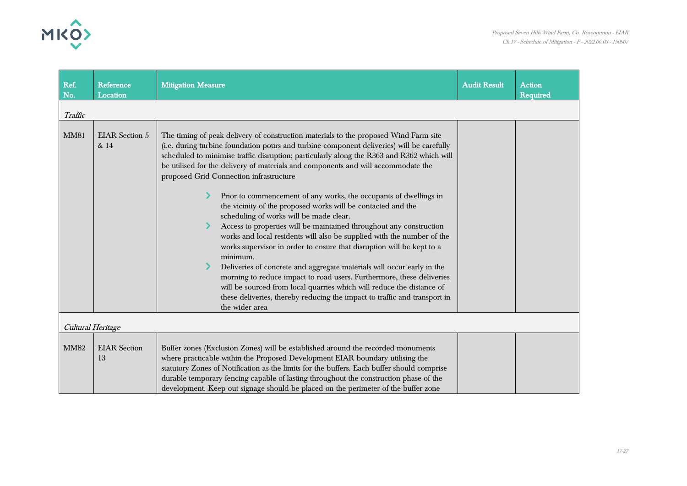

| Ref.<br>No.       | Reference<br>Location         | <b>Mitigation Measure</b>                                                                                                                                                                                                                                                                                                                                                                                                                                                                                                                                                                                                                                                                                                                                                                                                                                                                                                                                                                                                                                                                                                                                       | <b>Audit Result</b> | <b>Action</b><br>Required |
|-------------------|-------------------------------|-----------------------------------------------------------------------------------------------------------------------------------------------------------------------------------------------------------------------------------------------------------------------------------------------------------------------------------------------------------------------------------------------------------------------------------------------------------------------------------------------------------------------------------------------------------------------------------------------------------------------------------------------------------------------------------------------------------------------------------------------------------------------------------------------------------------------------------------------------------------------------------------------------------------------------------------------------------------------------------------------------------------------------------------------------------------------------------------------------------------------------------------------------------------|---------------------|---------------------------|
| Traffic           |                               |                                                                                                                                                                                                                                                                                                                                                                                                                                                                                                                                                                                                                                                                                                                                                                                                                                                                                                                                                                                                                                                                                                                                                                 |                     |                           |
| <b>MM81</b>       | <b>EIAR</b> Section 5<br>& 14 | The timing of peak delivery of construction materials to the proposed Wind Farm site<br>(i.e. during turbine foundation pours and turbine component deliveries) will be carefully<br>scheduled to minimise traffic disruption; particularly along the R363 and R362 which will<br>be utilised for the delivery of materials and components and will accommodate the<br>proposed Grid Connection infrastructure<br>Prior to commencement of any works, the occupants of dwellings in<br>the vicinity of the proposed works will be contacted and the<br>scheduling of works will be made clear.<br>Access to properties will be maintained throughout any construction<br>works and local residents will also be supplied with the number of the<br>works supervisor in order to ensure that disruption will be kept to a<br>minimum.<br>Deliveries of concrete and aggregate materials will occur early in the<br>morning to reduce impact to road users. Furthermore, these deliveries<br>will be sourced from local quarries which will reduce the distance of<br>these deliveries, thereby reducing the impact to traffic and transport in<br>the wider area |                     |                           |
| Cultural Heritage |                               |                                                                                                                                                                                                                                                                                                                                                                                                                                                                                                                                                                                                                                                                                                                                                                                                                                                                                                                                                                                                                                                                                                                                                                 |                     |                           |
| <b>MM82</b>       | <b>EIAR</b> Section<br>13     | Buffer zones (Exclusion Zones) will be established around the recorded monuments<br>where practicable within the Proposed Development EIAR boundary utilising the<br>statutory Zones of Notification as the limits for the buffers. Each buffer should comprise<br>durable temporary fencing capable of lasting throughout the construction phase of the<br>development. Keep out signage should be placed on the perimeter of the buffer zone                                                                                                                                                                                                                                                                                                                                                                                                                                                                                                                                                                                                                                                                                                                  |                     |                           |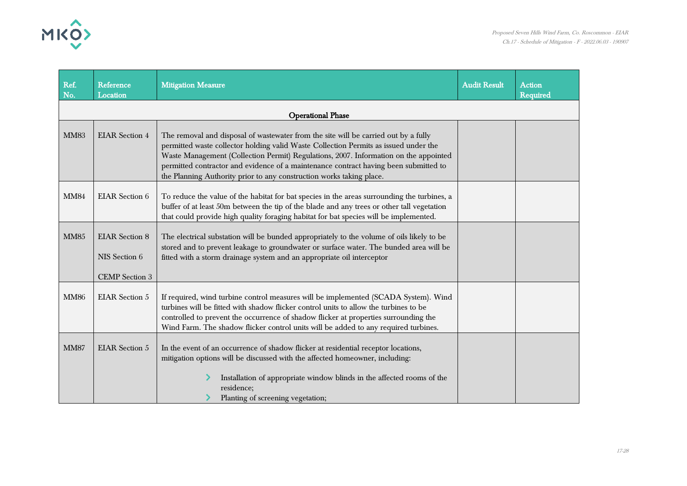

| Ref.<br>No. | Reference<br>Location                                           | <b>Mitigation Measure</b>                                                                                                                                                                                                                                                                                                                                                                                                           | <b>Audit Result</b> | <b>Action</b><br><b>Required</b> |
|-------------|-----------------------------------------------------------------|-------------------------------------------------------------------------------------------------------------------------------------------------------------------------------------------------------------------------------------------------------------------------------------------------------------------------------------------------------------------------------------------------------------------------------------|---------------------|----------------------------------|
|             |                                                                 | <b>Operational Phase</b>                                                                                                                                                                                                                                                                                                                                                                                                            |                     |                                  |
| <b>MM83</b> | <b>EIAR</b> Section 4                                           | The removal and disposal of wastewater from the site will be carried out by a fully<br>permitted waste collector holding valid Waste Collection Permits as issued under the<br>Waste Management (Collection Permit) Regulations, 2007. Information on the appointed<br>permitted contractor and evidence of a maintenance contract having been submitted to<br>the Planning Authority prior to any construction works taking place. |                     |                                  |
| <b>MM84</b> | <b>EIAR</b> Section 6                                           | To reduce the value of the habitat for bat species in the areas surrounding the turbines, a<br>buffer of at least 50m between the tip of the blade and any trees or other tall vegetation<br>that could provide high quality foraging habitat for bat species will be implemented.                                                                                                                                                  |                     |                                  |
| <b>MM85</b> | <b>EIAR</b> Section 8<br>NIS Section 6<br><b>CEMP</b> Section 3 | The electrical substation will be bunded appropriately to the volume of oils likely to be<br>stored and to prevent leakage to groundwater or surface water. The bunded area will be<br>fitted with a storm drainage system and an appropriate oil interceptor                                                                                                                                                                       |                     |                                  |
| <b>MM86</b> | <b>EIAR</b> Section 5                                           | If required, wind turbine control measures will be implemented (SCADA System). Wind<br>turbines will be fitted with shadow flicker control units to allow the turbines to be<br>controlled to prevent the occurrence of shadow flicker at properties surrounding the<br>Wind Farm. The shadow flicker control units will be added to any required turbines.                                                                         |                     |                                  |
| <b>MM87</b> | <b>EIAR</b> Section 5                                           | In the event of an occurrence of shadow flicker at residential receptor locations,<br>mitigation options will be discussed with the affected homeowner, including:<br>Installation of appropriate window blinds in the affected rooms of the<br>residence;<br>Planting of screening vegetation;                                                                                                                                     |                     |                                  |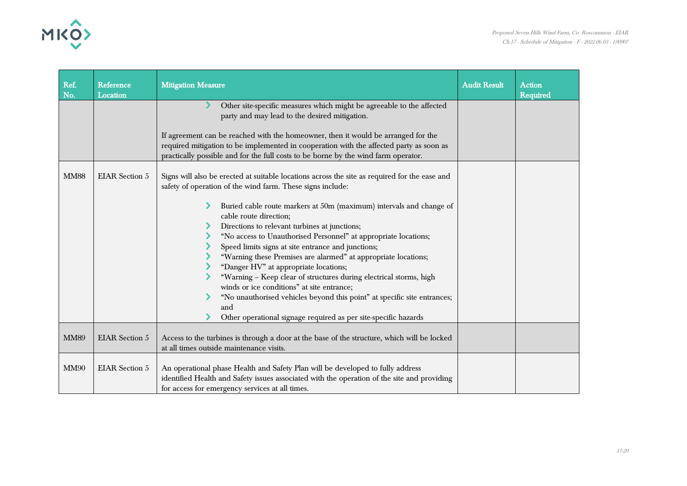

| Ref.        | Reference             | <b>Mitigation Measure</b>                                                                                                                                                                                                                                                                                                                                                                                                                                                                                                                                                                                                                                                                                                                                                                                                   | <b>Audit Result</b> | <b>Action</b> |
|-------------|-----------------------|-----------------------------------------------------------------------------------------------------------------------------------------------------------------------------------------------------------------------------------------------------------------------------------------------------------------------------------------------------------------------------------------------------------------------------------------------------------------------------------------------------------------------------------------------------------------------------------------------------------------------------------------------------------------------------------------------------------------------------------------------------------------------------------------------------------------------------|---------------------|---------------|
| No.         | Location              | Other site-specific measures which might be agreeable to the affected<br>party and may lead to the desired mitigation.                                                                                                                                                                                                                                                                                                                                                                                                                                                                                                                                                                                                                                                                                                      |                     | Required      |
|             |                       | If agreement can be reached with the homeowner, then it would be arranged for the<br>required mitigation to be implemented in cooperation with the affected party as soon as<br>practically possible and for the full costs to be borne by the wind farm operator.                                                                                                                                                                                                                                                                                                                                                                                                                                                                                                                                                          |                     |               |
| <b>MM88</b> | <b>EIAR</b> Section 5 | Signs will also be erected at suitable locations across the site as required for the ease and<br>safety of operation of the wind farm. These signs include:<br>Buried cable route markers at 50m (maximum) intervals and change of<br>cable route direction;<br>Directions to relevant turbines at junctions;<br>"No access to Unauthorised Personnel" at appropriate locations;<br>Speed limits signs at site entrance and junctions;<br>"Warning these Premises are alarmed" at appropriate locations;<br>"Danger HV" at appropriate locations;<br>"Warning - Keep clear of structures during electrical storms, high<br>winds or ice conditions" at site entrance;<br>"No unauthorised vehicles beyond this point" at specific site entrances;<br>and<br>Other operational signage required as per site-specific hazards |                     |               |
| <b>MM89</b> | <b>EIAR</b> Section 5 | Access to the turbines is through a door at the base of the structure, which will be locked<br>at all times outside maintenance visits.                                                                                                                                                                                                                                                                                                                                                                                                                                                                                                                                                                                                                                                                                     |                     |               |
| <b>MM90</b> | <b>EIAR</b> Section 5 | An operational phase Health and Safety Plan will be developed to fully address<br>identified Health and Safety issues associated with the operation of the site and providing<br>for access for emergency services at all times.                                                                                                                                                                                                                                                                                                                                                                                                                                                                                                                                                                                            |                     |               |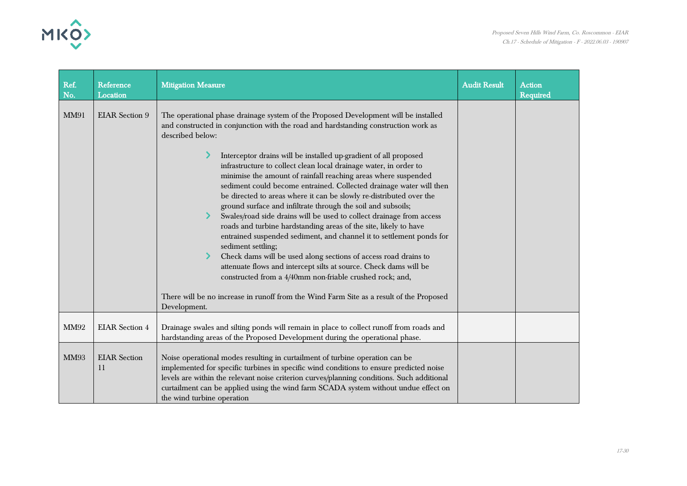

| Ref.<br>No. | Reference<br>Location     | <b>Mitigation Measure</b>                                                                                                                                                                                                                                                                                                                                                                                                                                                                                                                                                                                                                                                                                                                                                                                                                                                                                                                                                                                                                                                                                                                                                       | <b>Audit Result</b> | <b>Action</b><br>Required |
|-------------|---------------------------|---------------------------------------------------------------------------------------------------------------------------------------------------------------------------------------------------------------------------------------------------------------------------------------------------------------------------------------------------------------------------------------------------------------------------------------------------------------------------------------------------------------------------------------------------------------------------------------------------------------------------------------------------------------------------------------------------------------------------------------------------------------------------------------------------------------------------------------------------------------------------------------------------------------------------------------------------------------------------------------------------------------------------------------------------------------------------------------------------------------------------------------------------------------------------------|---------------------|---------------------------|
| <b>MM91</b> | <b>EIAR</b> Section 9     | The operational phase drainage system of the Proposed Development will be installed<br>and constructed in conjunction with the road and hardstanding construction work as<br>described below:<br>Interceptor drains will be installed up-gradient of all proposed<br>infrastructure to collect clean local drainage water, in order to<br>minimise the amount of rainfall reaching areas where suspended<br>sediment could become entrained. Collected drainage water will then<br>be directed to areas where it can be slowly re-distributed over the<br>ground surface and infiltrate through the soil and subsoils;<br>Swales/road side drains will be used to collect drainage from access<br>roads and turbine hardstanding areas of the site, likely to have<br>entrained suspended sediment, and channel it to settlement ponds for<br>sediment settling;<br>Check dams will be used along sections of access road drains to<br>attenuate flows and intercept silts at source. Check dams will be<br>constructed from a 4/40mm non-friable crushed rock; and,<br>There will be no increase in runoff from the Wind Farm Site as a result of the Proposed<br>Development. |                     |                           |
| <b>MM92</b> | <b>EIAR</b> Section 4     | Drainage swales and silting ponds will remain in place to collect runoff from roads and<br>hardstanding areas of the Proposed Development during the operational phase.                                                                                                                                                                                                                                                                                                                                                                                                                                                                                                                                                                                                                                                                                                                                                                                                                                                                                                                                                                                                         |                     |                           |
| <b>MM93</b> | <b>EIAR</b> Section<br>11 | Noise operational modes resulting in curtailment of turbine operation can be<br>implemented for specific turbines in specific wind conditions to ensure predicted noise<br>levels are within the relevant noise criterion curves/planning conditions. Such additional<br>curtailment can be applied using the wind farm SCADA system without undue effect on<br>the wind turbine operation                                                                                                                                                                                                                                                                                                                                                                                                                                                                                                                                                                                                                                                                                                                                                                                      |                     |                           |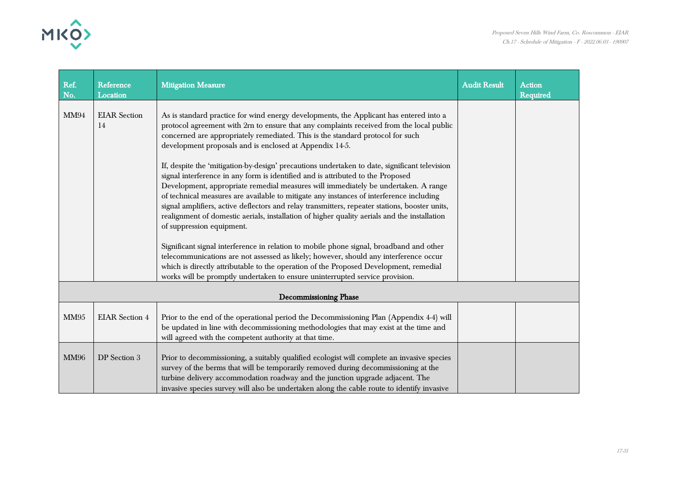

| Ref.<br>No. | Reference<br>Location                                                                                                                                                                                                                                                                                                                                                                                                                                                                                                                                                                                                                                                                                                                                                                                                                                                                                                                                                                                                                                                                                                                                                                                                                                                                                                         | <b>Mitigation Measure</b>                                                                                                                                                                                                                                                                                                                                       | <b>Audit Result</b> | <b>Action</b><br>Required |
|-------------|-------------------------------------------------------------------------------------------------------------------------------------------------------------------------------------------------------------------------------------------------------------------------------------------------------------------------------------------------------------------------------------------------------------------------------------------------------------------------------------------------------------------------------------------------------------------------------------------------------------------------------------------------------------------------------------------------------------------------------------------------------------------------------------------------------------------------------------------------------------------------------------------------------------------------------------------------------------------------------------------------------------------------------------------------------------------------------------------------------------------------------------------------------------------------------------------------------------------------------------------------------------------------------------------------------------------------------|-----------------------------------------------------------------------------------------------------------------------------------------------------------------------------------------------------------------------------------------------------------------------------------------------------------------------------------------------------------------|---------------------|---------------------------|
| <b>MM94</b> | <b>EIAR</b> Section<br>As is standard practice for wind energy developments, the Applicant has entered into a<br>protocol agreement with 2rn to ensure that any complaints received from the local public<br>14<br>concerned are appropriately remediated. This is the standard protocol for such<br>development proposals and is enclosed at Appendix 14-5.<br>If, despite the 'mitigation-by-design' precautions undertaken to date, significant television<br>signal interference in any form is identified and is attributed to the Proposed<br>Development, appropriate remedial measures will immediately be undertaken. A range<br>of technical measures are available to mitigate any instances of interference including<br>signal amplifiers, active deflectors and relay transmitters, repeater stations, booster units,<br>realignment of domestic aerials, installation of higher quality aerials and the installation<br>of suppression equipment.<br>Significant signal interference in relation to mobile phone signal, broadband and other<br>telecommunications are not assessed as likely; however, should any interference occur<br>which is directly attributable to the operation of the Proposed Development, remedial<br>works will be promptly undertaken to ensure uninterrupted service provision. |                                                                                                                                                                                                                                                                                                                                                                 |                     |                           |
|             |                                                                                                                                                                                                                                                                                                                                                                                                                                                                                                                                                                                                                                                                                                                                                                                                                                                                                                                                                                                                                                                                                                                                                                                                                                                                                                                               | Decommissioning Phase                                                                                                                                                                                                                                                                                                                                           |                     |                           |
| <b>MM95</b> | <b>EIAR</b> Section 4                                                                                                                                                                                                                                                                                                                                                                                                                                                                                                                                                                                                                                                                                                                                                                                                                                                                                                                                                                                                                                                                                                                                                                                                                                                                                                         | Prior to the end of the operational period the Decommissioning Plan (Appendix 4-4) will<br>be updated in line with decommissioning methodologies that may exist at the time and<br>will agreed with the competent authority at that time.                                                                                                                       |                     |                           |
| <b>MM96</b> | DP Section 3                                                                                                                                                                                                                                                                                                                                                                                                                                                                                                                                                                                                                                                                                                                                                                                                                                                                                                                                                                                                                                                                                                                                                                                                                                                                                                                  | Prior to decommissioning, a suitably qualified ecologist will complete an invasive species<br>survey of the berms that will be temporarily removed during decommissioning at the<br>turbine delivery accommodation roadway and the junction upgrade adjacent. The<br>invasive species survey will also be undertaken along the cable route to identify invasive |                     |                           |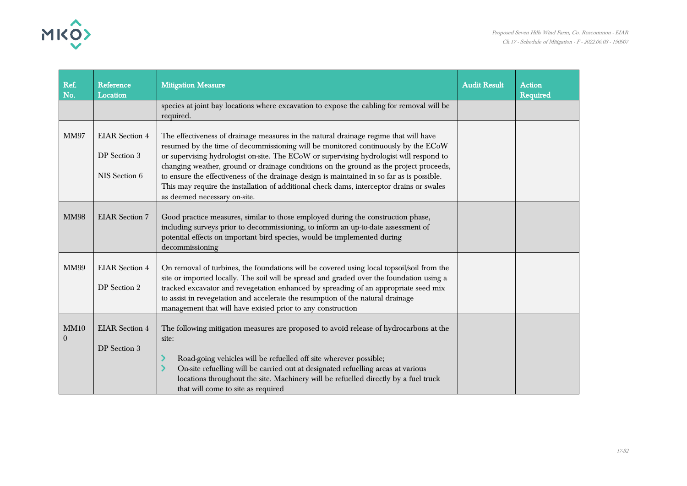

| Ref.<br>No.            | Reference<br>Location                                  | <b>Mitigation Measure</b>                                                                                                                                                                                                                                                                                                                                                                                                                                                                                                                                                                | <b>Audit Result</b> | <b>Action</b><br><b>Required</b> |
|------------------------|--------------------------------------------------------|------------------------------------------------------------------------------------------------------------------------------------------------------------------------------------------------------------------------------------------------------------------------------------------------------------------------------------------------------------------------------------------------------------------------------------------------------------------------------------------------------------------------------------------------------------------------------------------|---------------------|----------------------------------|
|                        |                                                        | species at joint bay locations where excavation to expose the cabling for removal will be<br>required.                                                                                                                                                                                                                                                                                                                                                                                                                                                                                   |                     |                                  |
| <b>MM97</b>            | <b>EIAR</b> Section 4<br>DP Section 3<br>NIS Section 6 | The effectiveness of drainage measures in the natural drainage regime that will have<br>resumed by the time of decommissioning will be monitored continuously by the ECoW<br>or supervising hydrologist on-site. The ECoW or supervising hydrologist will respond to<br>changing weather, ground or drainage conditions on the ground as the project proceeds,<br>to ensure the effectiveness of the drainage design is maintained in so far as is possible.<br>This may require the installation of additional check dams, interceptor drains or swales<br>as deemed necessary on-site. |                     |                                  |
| <b>MM98</b>            | <b>EIAR</b> Section 7                                  | Good practice measures, similar to those employed during the construction phase,<br>including surveys prior to decommissioning, to inform an up-to-date assessment of<br>potential effects on important bird species, would be implemented during<br>decommissioning                                                                                                                                                                                                                                                                                                                     |                     |                                  |
| <b>MM99</b>            | <b>EIAR</b> Section 4<br>DP Section 2                  | On removal of turbines, the foundations will be covered using local topsoil/soil from the<br>site or imported locally. The soil will be spread and graded over the foundation using a<br>tracked excavator and revegetation enhanced by spreading of an appropriate seed mix<br>to assist in revegetation and accelerate the resumption of the natural drainage<br>management that will have existed prior to any construction                                                                                                                                                           |                     |                                  |
| MM10<br>$\overline{0}$ | <b>EIAR</b> Section 4<br>DP Section 3                  | The following mitigation measures are proposed to avoid release of hydrocarbons at the<br>site:<br>Road-going vehicles will be refuelled off site wherever possible;<br>On-site refuelling will be carried out at designated refuelling areas at various<br>locations throughout the site. Machinery will be refuelled directly by a fuel truck<br>that will come to site as required                                                                                                                                                                                                    |                     |                                  |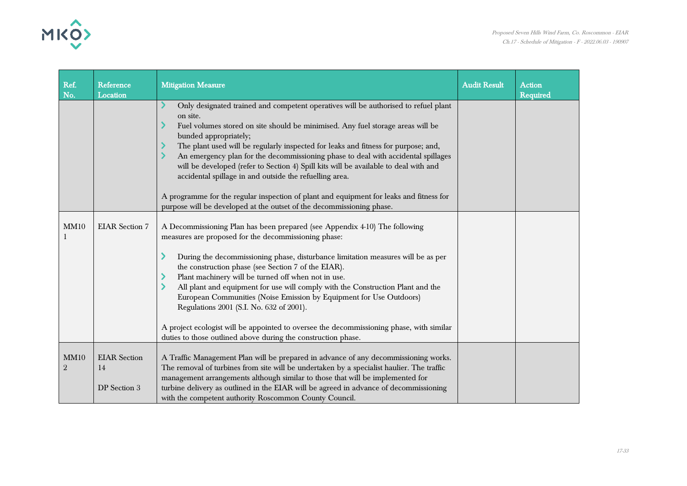

| Ref.<br>No.            | Reference<br>Location                     | <b>Mitigation Measure</b>                                                                                                                                                                                                                                                                                                                                                                                                                                                                                                                                                                                                                                                                                     | <b>Audit Result</b> | <b>Action</b><br><b>Required</b> |
|------------------------|-------------------------------------------|---------------------------------------------------------------------------------------------------------------------------------------------------------------------------------------------------------------------------------------------------------------------------------------------------------------------------------------------------------------------------------------------------------------------------------------------------------------------------------------------------------------------------------------------------------------------------------------------------------------------------------------------------------------------------------------------------------------|---------------------|----------------------------------|
|                        |                                           | Only designated trained and competent operatives will be authorised to refuel plant<br>on site.<br>Fuel volumes stored on site should be minimised. Any fuel storage areas will be<br>bunded appropriately;<br>The plant used will be regularly inspected for leaks and fitness for purpose; and,<br>An emergency plan for the decommissioning phase to deal with accidental spillages<br>will be developed (refer to Section 4) Spill kits will be available to deal with and<br>accidental spillage in and outside the refuelling area.<br>A programme for the regular inspection of plant and equipment for leaks and fitness for<br>purpose will be developed at the outset of the decommissioning phase. |                     |                                  |
| MM10                   | <b>EIAR</b> Section 7                     | A Decommissioning Plan has been prepared (see Appendix 4-10) The following<br>measures are proposed for the decommissioning phase:<br>During the decommissioning phase, disturbance limitation measures will be as per<br>the construction phase (see Section 7 of the EIAR).<br>Plant machinery will be turned off when not in use.<br>All plant and equipment for use will comply with the Construction Plant and the<br>European Communities (Noise Emission by Equipment for Use Outdoors)<br>Regulations 2001 (S.I. No. 632 of 2001).<br>A project ecologist will be appointed to oversee the decommissioning phase, with similar<br>duties to those outlined above during the construction phase.       |                     |                                  |
| MM10<br>$\overline{2}$ | <b>EIAR</b> Section<br>14<br>DP Section 3 | A Traffic Management Plan will be prepared in advance of any decommissioning works.<br>The removal of turbines from site will be undertaken by a specialist haulier. The traffic<br>management arrangements although similar to those that will be implemented for<br>turbine delivery as outlined in the EIAR will be agreed in advance of decommissioning<br>with the competent authority Roscommon County Council.                                                                                                                                                                                                                                                                                         |                     |                                  |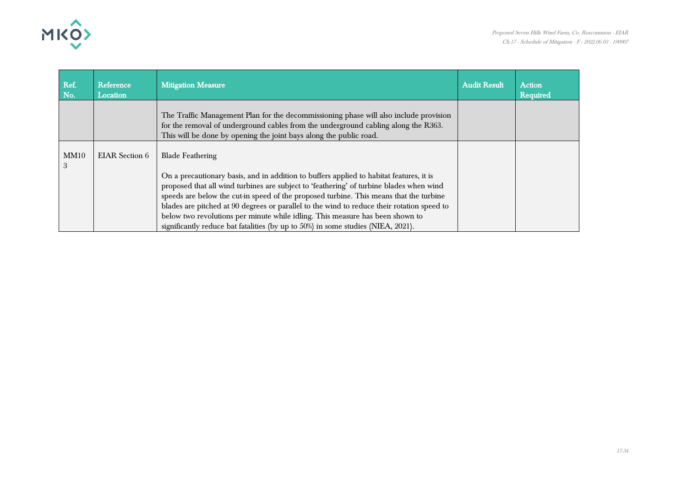

| Ref.<br>No. | Reference<br>Location | <b>Mitigation Measure</b>                                                                                                                                                                                                                                                                                                                                                                                                                                                                                                                                                  | <b>Audit Result</b> | <b>Action</b><br><b>Required</b> |
|-------------|-----------------------|----------------------------------------------------------------------------------------------------------------------------------------------------------------------------------------------------------------------------------------------------------------------------------------------------------------------------------------------------------------------------------------------------------------------------------------------------------------------------------------------------------------------------------------------------------------------------|---------------------|----------------------------------|
|             |                       | The Traffic Management Plan for the decommissioning phase will also include provision<br>for the removal of underground cables from the underground cabling along the R363.<br>This will be done by opening the joint bays along the public road.                                                                                                                                                                                                                                                                                                                          |                     |                                  |
| MM10<br>3   | EIAR Section 6        | <b>Blade Feathering</b><br>On a precautionary basis, and in addition to buffers applied to habitat features, it is<br>proposed that all wind turbines are subject to 'feathering' of turbine blades when wind<br>speeds are below the cut-in speed of the proposed turbine. This means that the turbine<br>blades are pitched at 90 degrees or parallel to the wind to reduce their rotation speed to<br>below two revolutions per minute while idling. This measure has been shown to<br>significantly reduce bat fatalities (by up to 50%) in some studies (NIEA, 2021). |                     |                                  |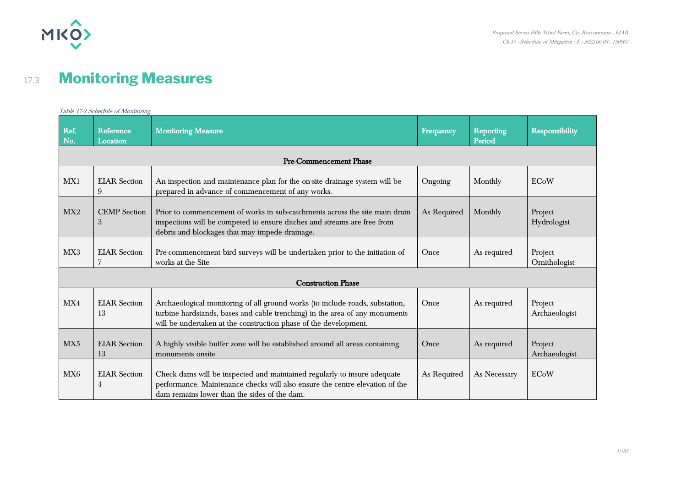

## 17.3 **Monitoring Measures**

|                 | Table 17-2 Schedule of Monitoring       |                                                                                                                                                                                                                                 |             |                            |                          |  |  |
|-----------------|-----------------------------------------|---------------------------------------------------------------------------------------------------------------------------------------------------------------------------------------------------------------------------------|-------------|----------------------------|--------------------------|--|--|
| Ref.<br>No.     | Reference<br>Location                   | <b>Monitoring Measure</b>                                                                                                                                                                                                       | Frequency   | <b>Reporting</b><br>Period | <b>Responsibility</b>    |  |  |
|                 |                                         | <b>Pre-Commencement Phase</b>                                                                                                                                                                                                   |             |                            |                          |  |  |
| MX1             | <b>EIAR</b> Section<br>$\boldsymbol{9}$ | An inspection and maintenance plan for the on-site drainage system will be<br>prepared in advance of commencement of any works.                                                                                                 | Ongoing     | Monthly                    | <b>ECoW</b>              |  |  |
| MX2             | <b>CEMP</b> Section<br>3                | Prior to commencement of works in sub-catchments across the site main drain<br>inspections will be competed to ensure ditches and streams are free from<br>debris and blockages that may impede drainage.                       | As Required | Monthly                    | Project<br>Hydrologist   |  |  |
| MX3             | <b>EIAR</b> Section<br>7                | Pre-commencement bird surveys will be undertaken prior to the initiation of<br>works at the Site                                                                                                                                | Once        | As required                | Project<br>Ornithologist |  |  |
|                 |                                         | <b>Construction Phase</b>                                                                                                                                                                                                       |             |                            |                          |  |  |
| MX4             | <b>EIAR</b> Section<br>13               | Archaeological monitoring of all ground works (to include roads, substation,<br>turbine hardstands, bases and cable trenching) in the area of any monuments<br>will be undertaken at the construction phase of the development. | Once        | As required                | Project<br>Archaeologist |  |  |
| MX5             | <b>EIAR</b> Section<br>13               | A highly visible buffer zone will be established around all areas containing<br>monuments onsite                                                                                                                                | Once        | As required                | Project<br>Archaeologist |  |  |
| MX <sub>6</sub> | <b>EIAR</b> Section<br>$\overline{4}$   | Check dams will be inspected and maintained regularly to insure adequate<br>performance. Maintenance checks will also ensure the centre elevation of the<br>dam remains lower than the sides of the dam.                        | As Required | As Necessary               | <b>ECoW</b>              |  |  |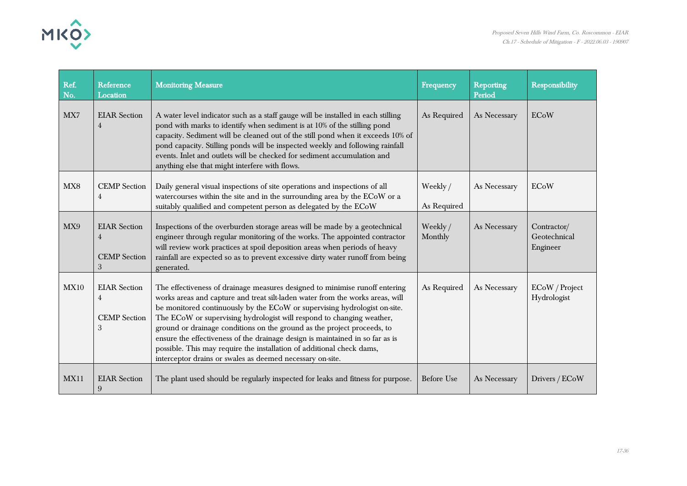

| Ref.<br>No. | Reference<br>Location                                             | <b>Monitoring Measure</b>                                                                                                                                                                                                                                                                                                                                                                                                                                                                                                                                                                                            | Frequency               | Reporting<br>Period | <b>Responsibility</b>                   |
|-------------|-------------------------------------------------------------------|----------------------------------------------------------------------------------------------------------------------------------------------------------------------------------------------------------------------------------------------------------------------------------------------------------------------------------------------------------------------------------------------------------------------------------------------------------------------------------------------------------------------------------------------------------------------------------------------------------------------|-------------------------|---------------------|-----------------------------------------|
| MX7         | <b>EIAR</b> Section<br>4                                          | A water level indicator such as a staff gauge will be installed in each stilling<br>pond with marks to identify when sediment is at 10% of the stilling pond<br>capacity. Sediment will be cleaned out of the still pond when it exceeds 10% of<br>pond capacity. Stilling ponds will be inspected weekly and following rainfall<br>events. Inlet and outlets will be checked for sediment accumulation and<br>anything else that might interfere with flows.                                                                                                                                                        | As Required             | As Necessary        | <b>ECoW</b>                             |
| MX8         | <b>CEMP</b> Section<br>4                                          | Daily general visual inspections of site operations and inspections of all<br>watercourses within the site and in the surrounding area by the ECoW or a<br>suitably qualified and competent person as delegated by the ECoW                                                                                                                                                                                                                                                                                                                                                                                          | Weekly /<br>As Required | As Necessary        | ECoW                                    |
| MX9         | <b>EIAR</b> Section<br>$\overline{4}$<br><b>CEMP</b> Section<br>3 | Inspections of the overburden storage areas will be made by a geotechnical<br>engineer through regular monitoring of the works. The appointed contractor<br>will review work practices at spoil deposition areas when periods of heavy<br>rainfall are expected so as to prevent excessive dirty water runoff from being<br>generated.                                                                                                                                                                                                                                                                               | Weekly /<br>Monthly     | As Necessary        | Contractor/<br>Geotechnical<br>Engineer |
| <b>MX10</b> | <b>EIAR</b> Section<br>4<br><b>CEMP</b> Section<br>3              | The effectiveness of drainage measures designed to minimise runoff entering<br>works areas and capture and treat silt-laden water from the works areas, will<br>be monitored continuously by the ECoW or supervising hydrologist on-site.<br>The ECoW or supervising hydrologist will respond to changing weather,<br>ground or drainage conditions on the ground as the project proceeds, to<br>ensure the effectiveness of the drainage design is maintained in so far as is<br>possible. This may require the installation of additional check dams,<br>interceptor drains or swales as deemed necessary on-site. | As Required             | As Necessary        | ECoW / Project<br>Hydrologist           |
| <b>MX11</b> | <b>EIAR</b> Section<br>$9\phantom{.0}$                            | The plant used should be regularly inspected for leaks and fitness for purpose.                                                                                                                                                                                                                                                                                                                                                                                                                                                                                                                                      | Before Use              | As Necessary        | Drivers / ECoW                          |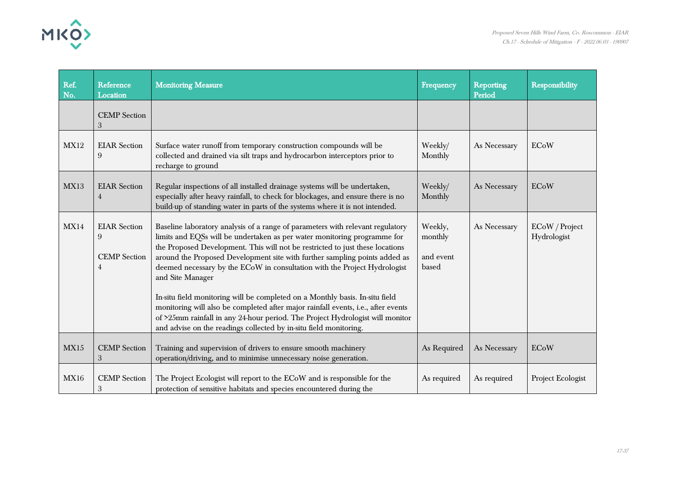

| Ref.<br>No. | Reference<br>Location                                | <b>Monitoring Measure</b>                                                                                                                                                                                                                                                                                                                                                                                                                                                                                                                                                                                                                                                                                                                             | Frequency                                | Reporting<br>Period | Responsibility                |
|-------------|------------------------------------------------------|-------------------------------------------------------------------------------------------------------------------------------------------------------------------------------------------------------------------------------------------------------------------------------------------------------------------------------------------------------------------------------------------------------------------------------------------------------------------------------------------------------------------------------------------------------------------------------------------------------------------------------------------------------------------------------------------------------------------------------------------------------|------------------------------------------|---------------------|-------------------------------|
|             | <b>CEMP</b> Section<br>3                             |                                                                                                                                                                                                                                                                                                                                                                                                                                                                                                                                                                                                                                                                                                                                                       |                                          |                     |                               |
| <b>MX12</b> | <b>EIAR</b> Section<br>9                             | Surface water runoff from temporary construction compounds will be<br>collected and drained via silt traps and hydrocarbon interceptors prior to<br>recharge to ground                                                                                                                                                                                                                                                                                                                                                                                                                                                                                                                                                                                | Weekly/<br>Monthly                       | As Necessary        | ECoW                          |
| <b>MX13</b> | <b>EIAR</b> Section<br>4                             | Regular inspections of all installed drainage systems will be undertaken,<br>especially after heavy rainfall, to check for blockages, and ensure there is no<br>build-up of standing water in parts of the systems where it is not intended.                                                                                                                                                                                                                                                                                                                                                                                                                                                                                                          | Weekly/<br>Monthly                       | As Necessary        | <b>ECoW</b>                   |
| MX14        | <b>EIAR</b> Section<br>9<br><b>CEMP</b> Section<br>4 | Baseline laboratory analysis of a range of parameters with relevant regulatory<br>limits and EQSs will be undertaken as per water monitoring programme for<br>the Proposed Development. This will not be restricted to just these locations<br>around the Proposed Development site with further sampling points added as<br>deemed necessary by the ECoW in consultation with the Project Hydrologist<br>and Site Manager<br>In-situ field monitoring will be completed on a Monthly basis. In-situ field<br>monitoring will also be completed after major rainfall events, i.e., after events<br>of >25mm rainfall in any 24-hour period. The Project Hydrologist will monitor<br>and advise on the readings collected by in-situ field monitoring. | Weekly,<br>monthly<br>and event<br>based | As Necessary        | ECoW / Project<br>Hydrologist |
| MX15        | <b>CEMP</b> Section<br>3                             | Training and supervision of drivers to ensure smooth machinery<br>operation/driving, and to minimise unnecessary noise generation.                                                                                                                                                                                                                                                                                                                                                                                                                                                                                                                                                                                                                    | As Required                              | As Necessary        | <b>ECoW</b>                   |
| <b>MX16</b> | <b>CEMP</b> Section<br>$\sqrt{3}$                    | The Project Ecologist will report to the ECoW and is responsible for the<br>protection of sensitive habitats and species encountered during the                                                                                                                                                                                                                                                                                                                                                                                                                                                                                                                                                                                                       | As required                              | As required         | Project Ecologist             |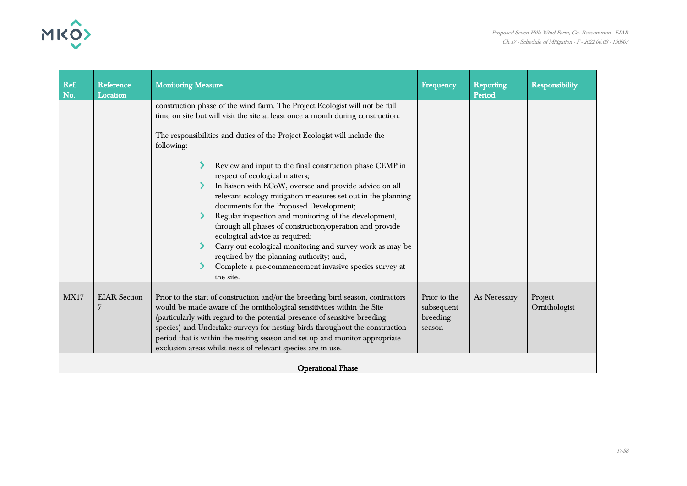



| Ref.<br>No.              | Reference<br>Location    | <b>Monitoring Measure</b>                                                                                                                                                                                                                                                                                                                                                                                                                                                                                                                                                                                                                                                                                                                                                                                                                                            | Frequency                                        | <b>Reporting</b><br>Period | <b>Responsibility</b>    |
|--------------------------|--------------------------|----------------------------------------------------------------------------------------------------------------------------------------------------------------------------------------------------------------------------------------------------------------------------------------------------------------------------------------------------------------------------------------------------------------------------------------------------------------------------------------------------------------------------------------------------------------------------------------------------------------------------------------------------------------------------------------------------------------------------------------------------------------------------------------------------------------------------------------------------------------------|--------------------------------------------------|----------------------------|--------------------------|
|                          |                          | construction phase of the wind farm. The Project Ecologist will not be full<br>time on site but will visit the site at least once a month during construction.<br>The responsibilities and duties of the Project Ecologist will include the<br>following:<br>Review and input to the final construction phase CEMP in<br>respect of ecological matters;<br>In liaison with ECoW, oversee and provide advice on all<br>relevant ecology mitigation measures set out in the planning<br>documents for the Proposed Development;<br>Regular inspection and monitoring of the development,<br>through all phases of construction/operation and provide<br>ecological advice as required;<br>Carry out ecological monitoring and survey work as may be<br>required by the planning authority; and,<br>Complete a pre-commencement invasive species survey at<br>the site. |                                                  |                            |                          |
| <b>MX17</b>              | <b>EIAR</b> Section<br>7 | Prior to the start of construction and/or the breeding bird season, contractors<br>would be made aware of the ornithological sensitivities within the Site<br>(particularly with regard to the potential presence of sensitive breeding<br>species) and Undertake surveys for nesting birds throughout the construction<br>period that is within the nesting season and set up and monitor appropriate<br>exclusion areas whilst nests of relevant species are in use.                                                                                                                                                                                                                                                                                                                                                                                               | Prior to the<br>subsequent<br>breeding<br>season | As Necessary               | Project<br>Ornithologist |
| <b>Operational Phase</b> |                          |                                                                                                                                                                                                                                                                                                                                                                                                                                                                                                                                                                                                                                                                                                                                                                                                                                                                      |                                                  |                            |                          |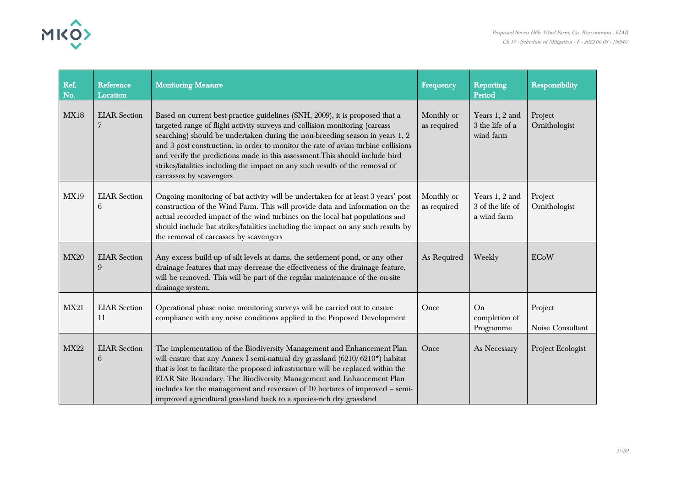

| Ref.<br>No. | Reference<br>Location     | <b>Monitoring Measure</b>                                                                                                                                                                                                                                                                                                                                                                                                                                                                                                    | Frequency                 | <b>Reporting</b><br>Period                        | <b>Responsibility</b>       |
|-------------|---------------------------|------------------------------------------------------------------------------------------------------------------------------------------------------------------------------------------------------------------------------------------------------------------------------------------------------------------------------------------------------------------------------------------------------------------------------------------------------------------------------------------------------------------------------|---------------------------|---------------------------------------------------|-----------------------------|
| <b>MX18</b> | <b>EIAR</b> Section       | Based on current best-practice guidelines (SNH, 2009), it is proposed that a<br>targeted range of flight activity surveys and collision monitoring (carcass<br>searching) should be undertaken during the non-breeding season in years 1, 2<br>and 3 post construction, in order to monitor the rate of avian turbine collisions<br>and verify the predictions made in this assessment. This should include bird<br>strikes/fatalities including the impact on any such results of the removal of<br>carcasses by scavengers | Monthly or<br>as required | Years 1, 2 and<br>3 the life of a<br>wind farm    | Project<br>Ornithologist    |
| <b>MX19</b> | <b>EIAR</b> Section<br>6  | Ongoing monitoring of bat activity will be undertaken for at least 3 years' post<br>construction of the Wind Farm. This will provide data and information on the<br>actual recorded impact of the wind turbines on the local bat populations and<br>should include bat strikes/fatalities including the impact on any such results by<br>the removal of carcasses by scavengers                                                                                                                                              | Monthly or<br>as required | Years 1, 2 and<br>3 of the life of<br>a wind farm | Project<br>Ornithologist    |
| <b>MX20</b> | <b>EIAR</b> Section<br>9  | Any excess build-up of silt levels at dams, the settlement pond, or any other<br>drainage features that may decrease the effectiveness of the drainage feature,<br>will be removed. This will be part of the regular maintenance of the on-site<br>drainage system.                                                                                                                                                                                                                                                          | As Required               | Weekly                                            | <b>ECoW</b>                 |
| <b>MX21</b> | <b>EIAR</b> Section<br>11 | Operational phase noise monitoring surveys will be carried out to ensure<br>compliance with any noise conditions applied to the Proposed Development                                                                                                                                                                                                                                                                                                                                                                         | Once                      | On<br>completion of<br>Programme                  | Project<br>Noise Consultant |
| <b>MX22</b> | <b>EIAR</b> Section<br>6  | The implementation of the Biodiversity Management and Enhancement Plan<br>will ensure that any Annex I semi-natural dry grassland (6210/6210*) habitat<br>that is lost to facilitate the proposed infrastructure will be replaced within the<br>EIAR Site Boundary. The Biodiversity Management and Enhancement Plan<br>includes for the management and reversion of 10 hectares of improved - semi-<br>improved agricultural grassland back to a species-rich dry grassland                                                 | Once                      | As Necessary                                      | Project Ecologist           |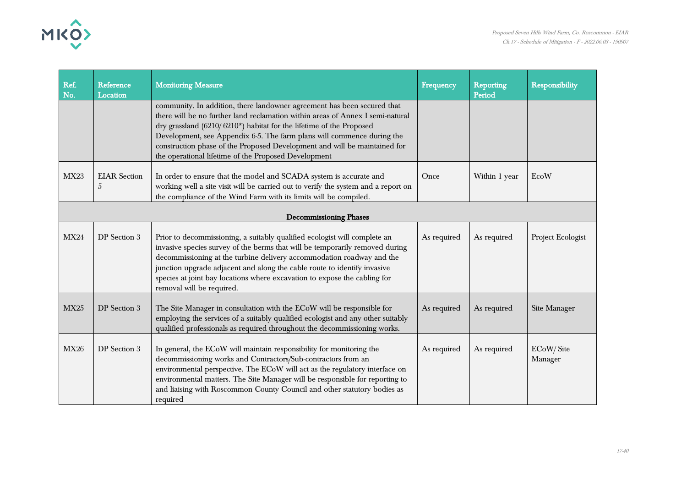



| Ref.<br>No.                   | Reference<br>Location    | <b>Monitoring Measure</b>                                                                                                                                                                                                                                                                                                                                                                                                                       | <b>Frequency</b> | <b>Reporting</b><br>Period | Responsibility       |  |  |
|-------------------------------|--------------------------|-------------------------------------------------------------------------------------------------------------------------------------------------------------------------------------------------------------------------------------------------------------------------------------------------------------------------------------------------------------------------------------------------------------------------------------------------|------------------|----------------------------|----------------------|--|--|
|                               |                          | community. In addition, there landowner agreement has been secured that<br>there will be no further land reclamation within areas of Annex I semi-natural<br>dry grassland (6210/6210*) habitat for the lifetime of the Proposed<br>Development, see Appendix 6-5. The farm plans will commence during the<br>construction phase of the Proposed Development and will be maintained for<br>the operational lifetime of the Proposed Development |                  |                            |                      |  |  |
| <b>MX23</b>                   | <b>EIAR</b> Section<br>5 | In order to ensure that the model and SCADA system is accurate and<br>working well a site visit will be carried out to verify the system and a report on<br>the compliance of the Wind Farm with its limits will be compiled.                                                                                                                                                                                                                   | Once             | Within 1 year              | EcoW                 |  |  |
| <b>Decommissioning Phases</b> |                          |                                                                                                                                                                                                                                                                                                                                                                                                                                                 |                  |                            |                      |  |  |
| <b>MX24</b>                   | DP Section 3             | Prior to decommissioning, a suitably qualified ecologist will complete an<br>invasive species survey of the berms that will be temporarily removed during<br>decommissioning at the turbine delivery accommodation roadway and the<br>junction upgrade adjacent and along the cable route to identify invasive<br>species at joint bay locations where excavation to expose the cabling for<br>removal will be required.                        | As required      | As required                | Project Ecologist    |  |  |
| <b>MX25</b>                   | DP Section 3             | The Site Manager in consultation with the ECoW will be responsible for<br>employing the services of a suitably qualified ecologist and any other suitably<br>qualified professionals as required throughout the decommissioning works.                                                                                                                                                                                                          | As required      | As required                | Site Manager         |  |  |
| <b>MX26</b>                   | DP Section 3             | In general, the ECoW will maintain responsibility for monitoring the<br>decommissioning works and Contractors/Sub-contractors from an<br>environmental perspective. The ECoW will act as the regulatory interface on<br>environmental matters. The Site Manager will be responsible for reporting to<br>and liaising with Roscommon County Council and other statutory bodies as<br>required                                                    | As required      | As required                | ECoW/Site<br>Manager |  |  |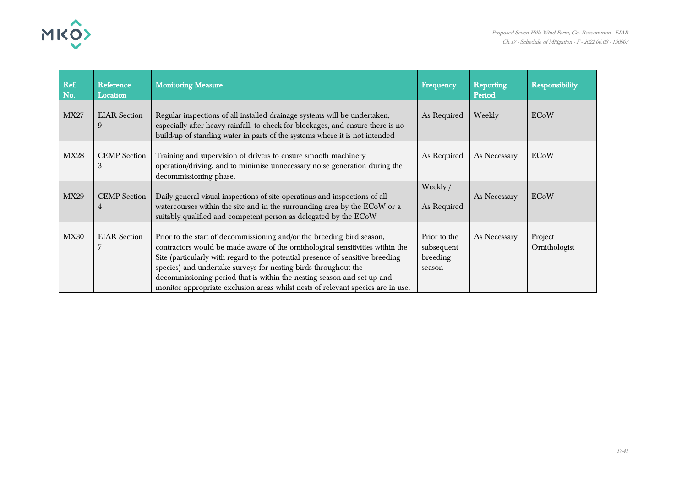

| Ref.<br>No. | Reference<br>Location    | <b>Monitoring Measure</b>                                                                                                                                                                                                                                                                                                                                                                                                                                                    | Frequency                                        | <b>Reporting</b><br>Period | Responsibility           |
|-------------|--------------------------|------------------------------------------------------------------------------------------------------------------------------------------------------------------------------------------------------------------------------------------------------------------------------------------------------------------------------------------------------------------------------------------------------------------------------------------------------------------------------|--------------------------------------------------|----------------------------|--------------------------|
| <b>MX27</b> | <b>EIAR</b> Section<br>9 | Regular inspections of all installed drainage systems will be undertaken,<br>especially after heavy rainfall, to check for blockages, and ensure there is no<br>build-up of standing water in parts of the systems where it is not intended                                                                                                                                                                                                                                  | As Required                                      | Weekly                     | <b>ECoW</b>              |
| <b>MX28</b> | <b>CEMP</b> Section<br>3 | Training and supervision of drivers to ensure smooth machinery<br>operation/driving, and to minimise unnecessary noise generation during the<br>decommissioning phase.                                                                                                                                                                                                                                                                                                       | As Required                                      | As Necessary               | <b>ECoW</b>              |
| <b>MX29</b> | <b>CEMP</b> Section<br>4 | Daily general visual inspections of site operations and inspections of all<br>watercourses within the site and in the surrounding area by the ECoW or a<br>suitably qualified and competent person as delegated by the ECoW                                                                                                                                                                                                                                                  | Weekly/<br>As Required                           | As Necessary               | <b>ECoW</b>              |
| <b>MX30</b> | <b>EIAR</b> Section      | Prior to the start of decommissioning and/or the breeding bird season,<br>contractors would be made aware of the ornithological sensitivities within the<br>Site (particularly with regard to the potential presence of sensitive breeding<br>species) and undertake surveys for nesting birds throughout the<br>decommissioning period that is within the nesting season and set up and<br>monitor appropriate exclusion areas whilst nests of relevant species are in use. | Prior to the<br>subsequent<br>breeding<br>season | As Necessary               | Project<br>Ornithologist |